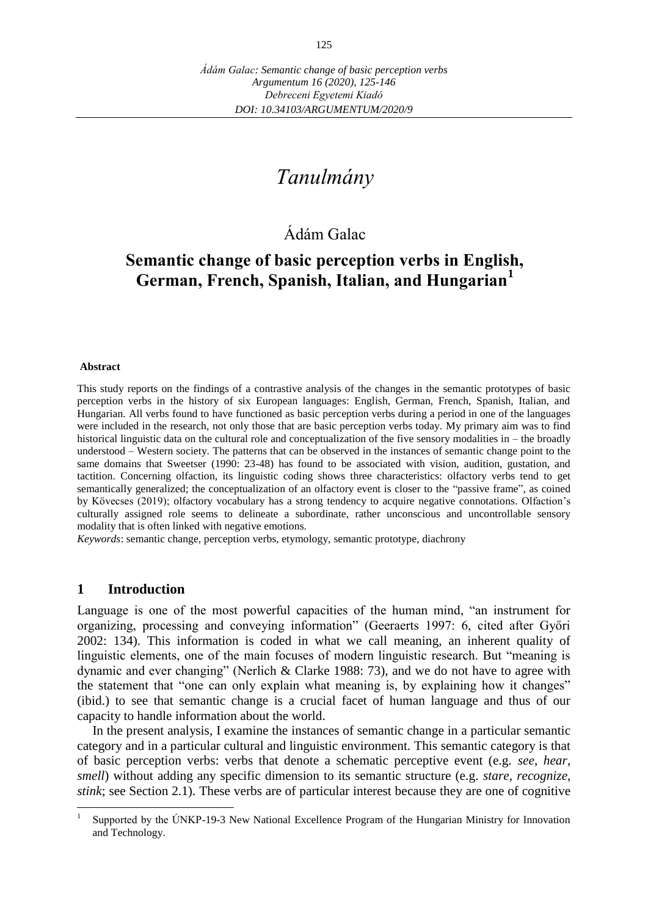# *Tanulmány*

# Ádám Galac

# **Semantic change of basic perception verbs in English, German, French, Spanish, Italian, and Hungarian<sup>1</sup>**

#### **Abstract**

This study reports on the findings of a contrastive analysis of the changes in the semantic prototypes of basic perception verbs in the history of six European languages: English, German, French, Spanish, Italian, and Hungarian. All verbs found to have functioned as basic perception verbs during a period in one of the languages were included in the research, not only those that are basic perception verbs today. My primary aim was to find historical linguistic data on the cultural role and conceptualization of the five sensory modalities in – the broadly understood – Western society. The patterns that can be observed in the instances of semantic change point to the same domains that Sweetser (1990: 23-48) has found to be associated with vision, audition, gustation, and tactition. Concerning olfaction, its linguistic coding shows three characteristics: olfactory verbs tend to get semantically generalized; the conceptualization of an olfactory event is closer to the "passive frame", as coined by Kövecses (2019); olfactory vocabulary has a strong tendency to acquire negative connotations. Olfaction's culturally assigned role seems to delineate a subordinate, rather unconscious and uncontrollable sensory modality that is often linked with negative emotions.

*Keywords*: semantic change, perception verbs, etymology, semantic prototype, diachrony

#### **1 Introduction**

 $\overline{a}$ 

Language is one of the most powerful capacities of the human mind, "an instrument for organizing, processing and conveying information" (Geeraerts 1997: 6, cited after Győri 2002: 134). This information is coded in what we call meaning, an inherent quality of linguistic elements, one of the main focuses of modern linguistic research. But "meaning is dynamic and ever changing" (Nerlich & Clarke 1988: 73), and we do not have to agree with the statement that "one can only explain what meaning is, by explaining how it changes" (ibid.) to see that semantic change is a crucial facet of human language and thus of our capacity to handle information about the world.

In the present analysis, I examine the instances of semantic change in a particular semantic category and in a particular cultural and linguistic environment. This semantic category is that of basic perception verbs: verbs that denote a schematic perceptive event (e.g. *see*, *hear*, *smell*) without adding any specific dimension to its semantic structure (e.g. *stare*, *recognize*, *stink*; see Section 2.1). These verbs are of particular interest because they are one of cognitive

<sup>1</sup> Supported by the ÚNKP-19-3 New National Excellence Program of the Hungarian Ministry for Innovation and Technology.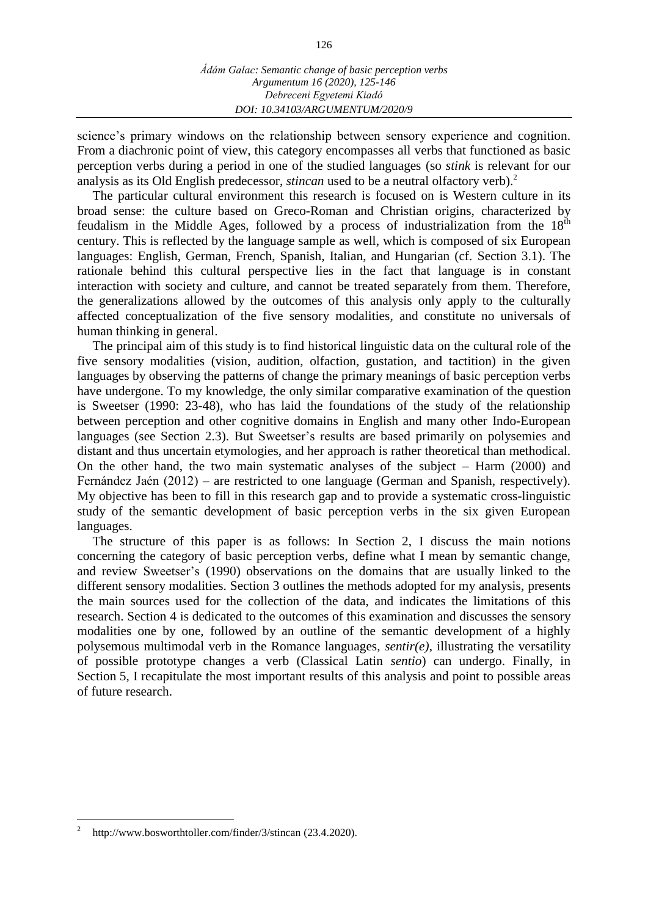science's primary windows on the relationship between sensory experience and cognition. From a diachronic point of view, this category encompasses all verbs that functioned as basic perception verbs during a period in one of the studied languages (so *stink* is relevant for our analysis as its Old English predecessor, *stincan* used to be a neutral olfactory verb).<sup>2</sup>

The particular cultural environment this research is focused on is Western culture in its broad sense: the culture based on Greco-Roman and Christian origins, characterized by feudalism in the Middle Ages, followed by a process of industrialization from the  $18<sup>th</sup>$ century. This is reflected by the language sample as well, which is composed of six European languages: English, German, French, Spanish, Italian, and Hungarian (cf. Section 3.1). The rationale behind this cultural perspective lies in the fact that language is in constant interaction with society and culture, and cannot be treated separately from them. Therefore, the generalizations allowed by the outcomes of this analysis only apply to the culturally affected conceptualization of the five sensory modalities, and constitute no universals of human thinking in general.

The principal aim of this study is to find historical linguistic data on the cultural role of the five sensory modalities (vision, audition, olfaction, gustation, and tactition) in the given languages by observing the patterns of change the primary meanings of basic perception verbs have undergone. To my knowledge, the only similar comparative examination of the question is Sweetser (1990: 23-48), who has laid the foundations of the study of the relationship between perception and other cognitive domains in English and many other Indo-European languages (see Section 2.3). But Sweetser's results are based primarily on polysemies and distant and thus uncertain etymologies, and her approach is rather theoretical than methodical. On the other hand, the two main systematic analyses of the subject – Harm (2000) and Fernández Jaén (2012) – are restricted to one language (German and Spanish, respectively). My objective has been to fill in this research gap and to provide a systematic cross-linguistic study of the semantic development of basic perception verbs in the six given European languages.

The structure of this paper is as follows: In Section 2, I discuss the main notions concerning the category of basic perception verbs, define what I mean by semantic change, and review Sweetser's (1990) observations on the domains that are usually linked to the different sensory modalities. Section 3 outlines the methods adopted for my analysis, presents the main sources used for the collection of the data, and indicates the limitations of this research. Section 4 is dedicated to the outcomes of this examination and discusses the sensory modalities one by one, followed by an outline of the semantic development of a highly polysemous multimodal verb in the Romance languages, *sentir(e)*, illustrating the versatility of possible prototype changes a verb (Classical Latin *sentio*) can undergo. Finally, in Section 5, I recapitulate the most important results of this analysis and point to possible areas of future research.

 $\overline{a}$ 

<sup>2</sup> <http://www.bosworthtoller.com/finder/3/stincan> (23.4.2020).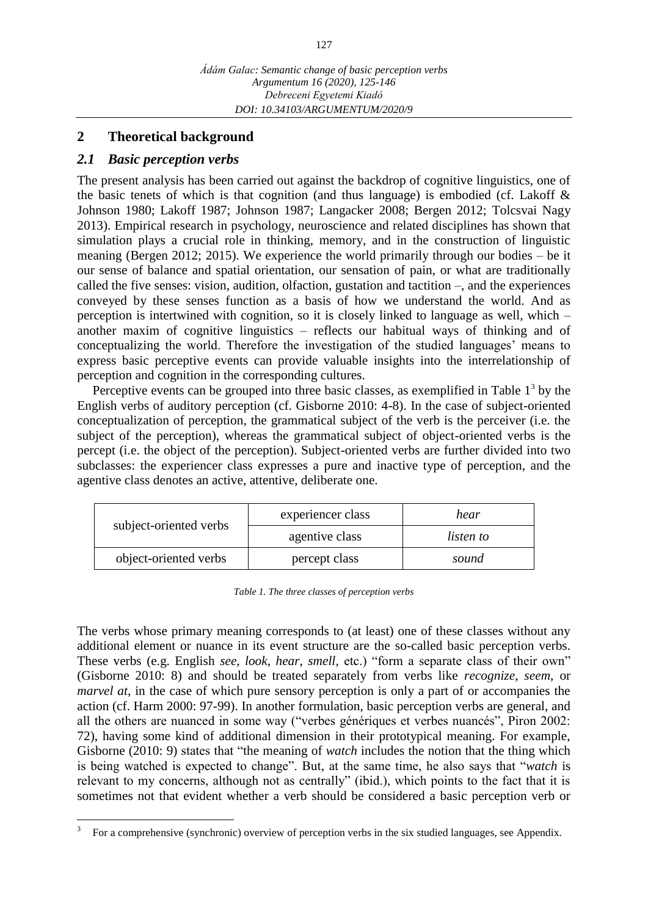## **2 Theoretical background**

## *2.1 Basic perception verbs*

The present analysis has been carried out against the backdrop of cognitive linguistics, one of the basic tenets of which is that cognition (and thus language) is embodied (cf. Lakoff  $\&$ Johnson 1980; Lakoff 1987; Johnson 1987; Langacker 2008; Bergen 2012; Tolcsvai Nagy 2013). Empirical research in psychology, neuroscience and related disciplines has shown that simulation plays a crucial role in thinking, memory, and in the construction of linguistic meaning (Bergen 2012; 2015). We experience the world primarily through our bodies – be it our sense of balance and spatial orientation, our sensation of pain, or what are traditionally called the five senses: vision, audition, olfaction, gustation and tactition –, and the experiences conveyed by these senses function as a basis of how we understand the world. And as perception is intertwined with cognition, so it is closely linked to language as well, which – another maxim of cognitive linguistics – reflects our habitual ways of thinking and of conceptualizing the world. Therefore the investigation of the studied languages' means to express basic perceptive events can provide valuable insights into the interrelationship of perception and cognition in the corresponding cultures.

Perceptive events can be grouped into three basic classes, as exemplified in Table  $1<sup>3</sup>$  by the English verbs of auditory perception (cf. Gisborne 2010: 4-8). In the case of subject-oriented conceptualization of perception, the grammatical subject of the verb is the perceiver (i.e. the subject of the perception), whereas the grammatical subject of object-oriented verbs is the percept (i.e. the object of the perception). Subject-oriented verbs are further divided into two subclasses: the experiencer class expresses a pure and inactive type of perception, and the agentive class denotes an active, attentive, deliberate one.

| subject-oriented verbs | experiencer class | hear      |  |
|------------------------|-------------------|-----------|--|
|                        | agentive class    | listen to |  |
| object-oriented verbs  | percept class     | sound     |  |

*Table 1. The three classes of perception verbs*

The verbs whose primary meaning corresponds to (at least) one of these classes without any additional element or nuance in its event structure are the so-called basic perception verbs. These verbs (e.g. English *see*, *look*, *hear*, *smell,* etc.) "form a separate class of their own" (Gisborne 2010: 8) and should be treated separately from verbs like *recognize*, *seem*, or *marvel at*, in the case of which pure sensory perception is only a part of or accompanies the action (cf. Harm 2000: 97-99). In another formulation, basic perception verbs are general, and all the others are nuanced in some way ("verbes génériques et verbes nuancés", Piron 2002: 72), having some kind of additional dimension in their prototypical meaning. For example, Gisborne (2010: 9) states that "the meaning of *watch* includes the notion that the thing which is being watched is expected to change". But, at the same time, he also says that "*watch* is relevant to my concerns, although not as centrally" (ibid.), which points to the fact that it is sometimes not that evident whether a verb should be considered a basic perception verb or

 $\overline{a}$ 3 For a comprehensive (synchronic) overview of perception verbs in the six studied languages, see Appendix.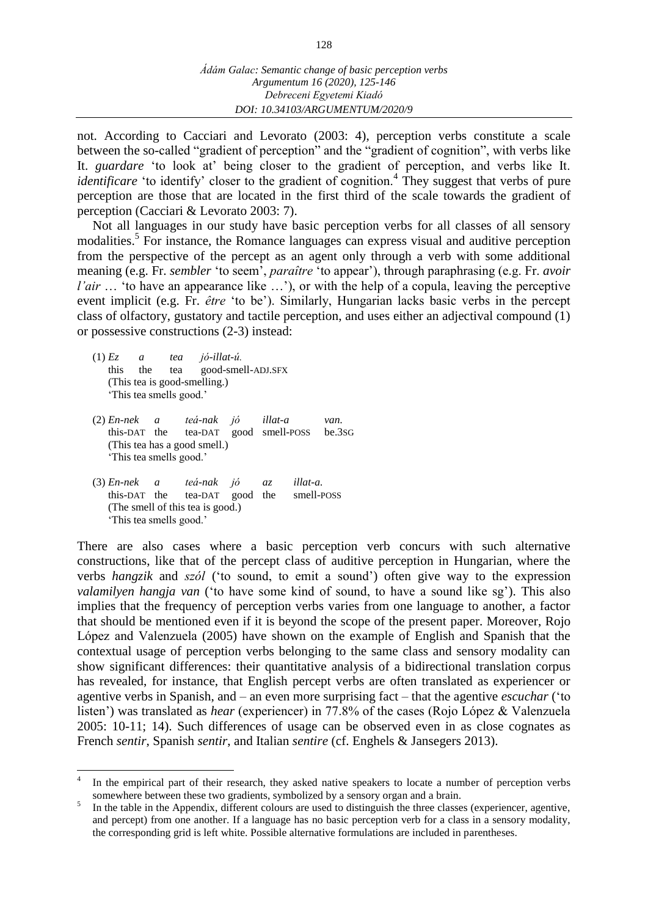not. According to Cacciari and Levorato (2003: 4), perception verbs constitute a scale between the so-called "gradient of perception" and the "gradient of cognition", with verbs like It. *guardare* 'to look at' being closer to the gradient of perception, and verbs like It. *identificare* 'to identify' closer to the gradient of cognition.<sup>4</sup> They suggest that verbs of pure perception are those that are located in the first third of the scale towards the gradient of perception (Cacciari & Levorato 2003: 7).

Not all languages in our study have basic perception verbs for all classes of all sensory modalities.<sup>5</sup> For instance, the Romance languages can express visual and auditive perception from the perspective of the percept as an agent only through a verb with some additional meaning (e.g. Fr. *sembler* 'to seem', *paraître* 'to appear'), through paraphrasing (e.g. Fr. *avoir l'air* ... 'to have an appearance like ...'), or with the help of a copula, leaving the perceptive event implicit (e.g. Fr. *être* 'to be'). Similarly, Hungarian lacks basic verbs in the percept class of olfactory, gustatory and tactile perception, and uses either an adjectival compound (1) or possessive constructions (2-3) instead:

(1) *Ez a tea jó-illat-ú.* this the tea good-smell-ADJ.SFX (This tea is good-smelling.) 'This tea smells good.'

 $\overline{a}$ 

- (2) *En-nek a teá-nak jó illat-a van.* this-DAT the tea-DAT good smell-POSS be.3SG (This tea has a good smell.) 'This tea smells good.'
- (3) *En-nek a teá-nak jó az illat-a.* this-DAT the tea-DAT good the smell-POSS (The smell of this tea is good.) 'This tea smells good.'

There are also cases where a basic perception verb concurs with such alternative constructions, like that of the percept class of auditive perception in Hungarian, where the verbs *hangzik* and *szól* ('to sound, to emit a sound') often give way to the expression *valamilyen hangja van* ('to have some kind of sound, to have a sound like sg'). This also implies that the frequency of perception verbs varies from one language to another, a factor that should be mentioned even if it is beyond the scope of the present paper. Moreover, Rojo López and Valenzuela (2005) have shown on the example of English and Spanish that the contextual usage of perception verbs belonging to the same class and sensory modality can show significant differences: their quantitative analysis of a bidirectional translation corpus has revealed, for instance, that English percept verbs are often translated as experiencer or agentive verbs in Spanish, and – an even more surprising fact – that the agentive *escuchar* ('to listen') was translated as *hear* (experiencer) in 77.8% of the cases (Rojo López & Valenzuela 2005: 10-11; 14). Such differences of usage can be observed even in as close cognates as French *sentir*, Spanish *sentir*, and Italian *sentire* (cf. Enghels & Jansegers 2013).

<sup>4</sup> In the empirical part of their research, they asked native speakers to locate a number of perception verbs somewhere between these two gradients, symbolized by a sensory organ and a brain.

<sup>5</sup> In the table in the Appendix, different colours are used to distinguish the three classes (experiencer, agentive, and percept) from one another. If a language has no basic perception verb for a class in a sensory modality, the corresponding grid is left white. Possible alternative formulations are included in parentheses.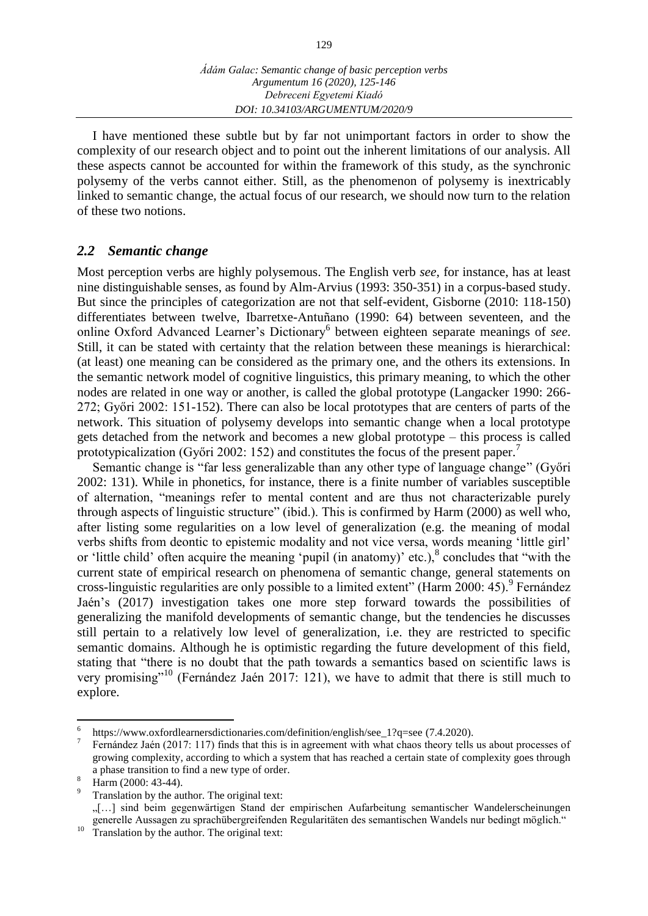I have mentioned these subtle but by far not unimportant factors in order to show the complexity of our research object and to point out the inherent limitations of our analysis. All these aspects cannot be accounted for within the framework of this study, as the synchronic polysemy of the verbs cannot either. Still, as the phenomenon of polysemy is inextricably linked to semantic change, the actual focus of our research, we should now turn to the relation of these two notions.

### *2.2 Semantic change*

Most perception verbs are highly polysemous. The English verb *see*, for instance, has at least nine distinguishable senses, as found by Alm-Arvius (1993: 350-351) in a corpus-based study. But since the principles of categorization are not that self-evident, Gisborne (2010: 118-150) differentiates between twelve, Ibarretxe-Antuñano (1990: 64) between seventeen, and the online Oxford Advanced Learner's Dictionary<sup>6</sup> between eighteen separate meanings of *see*. Still, it can be stated with certainty that the relation between these meanings is hierarchical: (at least) one meaning can be considered as the primary one, and the others its extensions. In the semantic network model of cognitive linguistics, this primary meaning, to which the other nodes are related in one way or another, is called the global prototype (Langacker 1990: 266- 272; Győri 2002: 151-152). There can also be local prototypes that are centers of parts of the network. This situation of polysemy develops into semantic change when a local prototype gets detached from the network and becomes a new global prototype – this process is called prototypicalization (Győri 2002: 152) and constitutes the focus of the present paper.<sup>7</sup>

Semantic change is "far less generalizable than any other type of language change" (Győri 2002: 131). While in phonetics, for instance, there is a finite number of variables susceptible of alternation, "meanings refer to mental content and are thus not characterizable purely through aspects of linguistic structure" (ibid.). This is confirmed by Harm (2000) as well who, after listing some regularities on a low level of generalization (e.g. the meaning of modal verbs shifts from deontic to epistemic modality and not vice versa, words meaning 'little girl' or 'little child' often acquire the meaning 'pupil (in anatomy)' etc.),<sup>8</sup> concludes that "with the current state of empirical research on phenomena of semantic change, general statements on cross-linguistic regularities are only possible to a limited extent" (Harm 2000: 45).<sup>9</sup> Fernández Jaén's (2017) investigation takes one more step forward towards the possibilities of generalizing the manifold developments of semantic change, but the tendencies he discusses still pertain to a relatively low level of generalization, i.e. they are restricted to specific semantic domains. Although he is optimistic regarding the future development of this field, stating that "there is no doubt that the path towards a semantics based on scientific laws is very promising"<sup>10</sup> (Fernández Jaén 2017: 121), we have to admit that there is still much to explore.

 $\overline{a}$ 

<sup>6</sup> [https://www.oxfordlearnersdictionaries.com/definition/english/see\\_1?q=see](https://www.oxfordlearnersdictionaries.com/definition/english/see_1?q=see) (7.4.2020).

<sup>7</sup> Fernández Jaén (2017: 117) finds that this is in agreement with what chaos theory tells us about processes of growing complexity, according to which a system that has reached a certain state of complexity goes through a phase transition to find a new type of order.

 $\frac{8}{1}$  Harm (2000: 43-44).

Translation by the author. The original text:

<sup>&</sup>quot;[…] sind beim gegenwärtigen Stand der empirischen Aufarbeitung semantischer Wandelerscheinungen generelle Aussagen zu sprachübergreifenden Regularitäten des semantischen Wandels nur bedingt möglich."

 $10$  Translation by the author. The original text: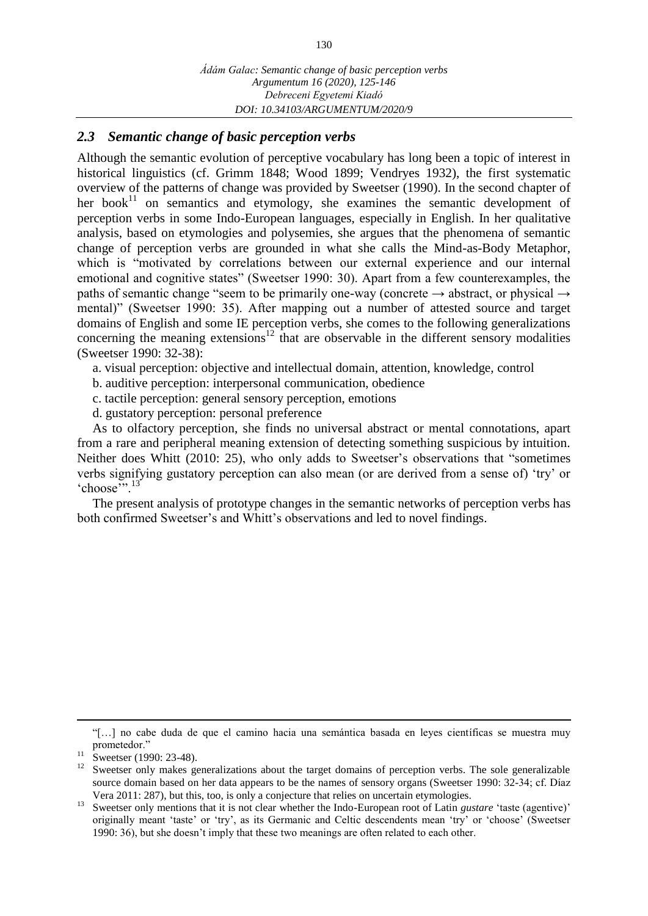### *2.3 Semantic change of basic perception verbs*

Although the semantic evolution of perceptive vocabulary has long been a topic of interest in historical linguistics (cf. Grimm 1848; Wood 1899; Vendryes 1932), the first systematic overview of the patterns of change was provided by Sweetser (1990). In the second chapter of her book $11$  on semantics and etymology, she examines the semantic development of perception verbs in some Indo-European languages, especially in English. In her qualitative analysis, based on etymologies and polysemies, she argues that the phenomena of semantic change of perception verbs are grounded in what she calls the Mind-as-Body Metaphor, which is "motivated by correlations between our external experience and our internal emotional and cognitive states" (Sweetser 1990: 30). Apart from a few counterexamples, the paths of semantic change "seem to be primarily one-way (concrete  $\rightarrow$  abstract, or physical  $\rightarrow$ mental)" (Sweetser 1990: 35). After mapping out a number of attested source and target domains of English and some IE perception verbs, she comes to the following generalizations concerning the meaning extensions<sup>12</sup> that are observable in the different sensory modalities (Sweetser 1990: 32-38):

- a. visual perception: objective and intellectual domain, attention, knowledge, control
- b. auditive perception: interpersonal communication, obedience
- c. tactile perception: general sensory perception, emotions
- d. gustatory perception: personal preference

As to olfactory perception, she finds no universal abstract or mental connotations, apart from a rare and peripheral meaning extension of detecting something suspicious by intuition. Neither does Whitt (2010: 25), who only adds to Sweetser's observations that "sometimes verbs signifying gustatory perception can also mean (or are derived from a sense of) 'try' or 'choose'".<sup>13</sup>

The present analysis of prototype changes in the semantic networks of perception verbs has both confirmed Sweetser's and Whitt's observations and led to novel findings.

"[…] no cabe duda de que el camino hacia una semántica basada en leyes científicas se muestra muy prometedor."

 $\overline{a}$ 

 $11$  Sweetser (1990: 23-48).

<sup>&</sup>lt;sup>12</sup> Sweetser only makes generalizations about the target domains of perception verbs. The sole generalizable source domain based on her data appears to be the names of sensory organs (Sweetser 1990: 32-34; cf. Díaz Vera 2011: 287), but this, too, is only a conjecture that relies on uncertain etymologies.

<sup>&</sup>lt;sup>13</sup> Sweetser only mentions that it is not clear whether the Indo-European root of Latin *gustare* 'taste (agentive)' originally meant 'taste' or 'try', as its Germanic and Celtic descendents mean 'try' or 'choose' (Sweetser 1990: 36), but she doesn't imply that these two meanings are often related to each other.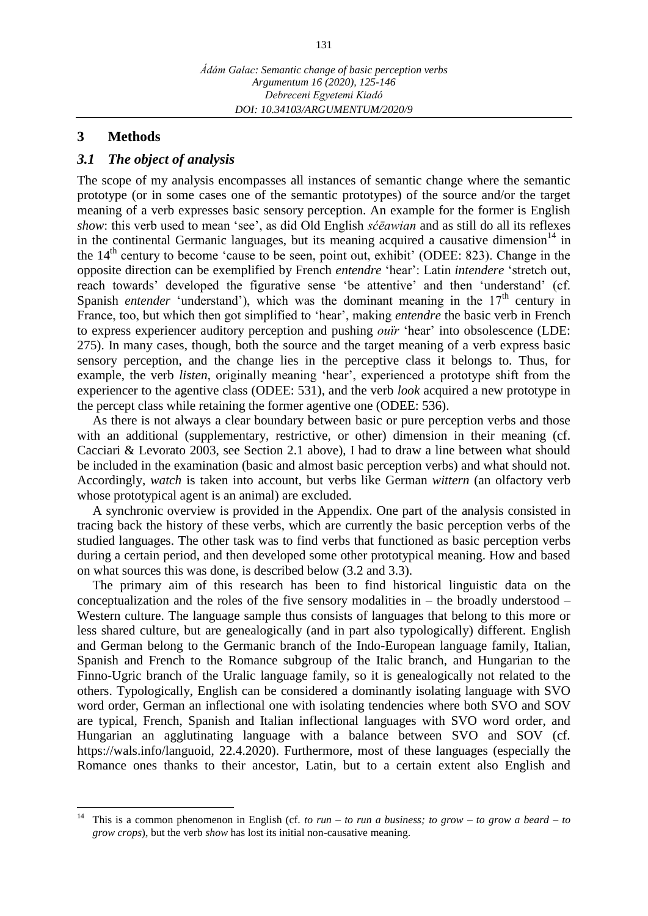#### **3 Methods**

#### *3.1 The object of analysis*

The scope of my analysis encompasses all instances of semantic change where the semantic prototype (or in some cases one of the semantic prototypes) of the source and/or the target meaning of a verb expresses basic sensory perception. An example for the former is English *show*: this verb used to mean 'see', as did Old English *sćēawian* and as still do all its reflexes in the continental Germanic languages, but its meaning acquired a causative dimension<sup>14</sup> in the  $14<sup>th</sup>$  century to become 'cause to be seen, point out, exhibit' (ODEE: 823). Change in the opposite direction can be exemplified by French *entendre* 'hear': Latin *intendere* 'stretch out, reach towards' developed the figurative sense 'be attentive' and then 'understand' (cf. Spanish *entender* 'understand'), which was the dominant meaning in the  $17<sup>th</sup>$  century in France, too, but which then got simplified to 'hear', making *entendre* the basic verb in French to express experiencer auditory perception and pushing *ouïr* 'hear' into obsolescence (LDE: 275). In many cases, though, both the source and the target meaning of a verb express basic sensory perception, and the change lies in the perceptive class it belongs to. Thus, for example, the verb *listen*, originally meaning 'hear', experienced a prototype shift from the experiencer to the agentive class (ODEE: 531), and the verb *look* acquired a new prototype in the percept class while retaining the former agentive one (ODEE: 536).

As there is not always a clear boundary between basic or pure perception verbs and those with an additional (supplementary, restrictive, or other) dimension in their meaning (cf. Cacciari & Levorato 2003, see Section 2.1 above), I had to draw a line between what should be included in the examination (basic and almost basic perception verbs) and what should not. Accordingly, *watch* is taken into account, but verbs like German *wittern* (an olfactory verb whose prototypical agent is an animal) are excluded.

A synchronic overview is provided in the Appendix. One part of the analysis consisted in tracing back the history of these verbs, which are currently the basic perception verbs of the studied languages. The other task was to find verbs that functioned as basic perception verbs during a certain period, and then developed some other prototypical meaning. How and based on what sources this was done, is described below (3.2 and 3.3).

The primary aim of this research has been to find historical linguistic data on the conceptualization and the roles of the five sensory modalities in – the broadly understood – Western culture. The language sample thus consists of languages that belong to this more or less shared culture, but are genealogically (and in part also typologically) different. English and German belong to the Germanic branch of the Indo-European language family, Italian, Spanish and French to the Romance subgroup of the Italic branch, and Hungarian to the Finno-Ugric branch of the Uralic language family, so it is genealogically not related to the others. Typologically, English can be considered a dominantly isolating language with SVO word order, German an inflectional one with isolating tendencies where both SVO and SOV are typical, French, Spanish and Italian inflectional languages with SVO word order, and Hungarian an agglutinating language with a balance between SVO and SOV (cf. [https://wals.info/languoid,](https://wals.info/languoid) 22.4.2020). Furthermore, most of these languages (especially the Romance ones thanks to their ancestor, Latin, but to a certain extent also English and

 $14\,$ This is a common phenomenon in English (cf. *to run – to run a business; to grow – to grow a beard – to grow crops*), but the verb *show* has lost its initial non-causative meaning.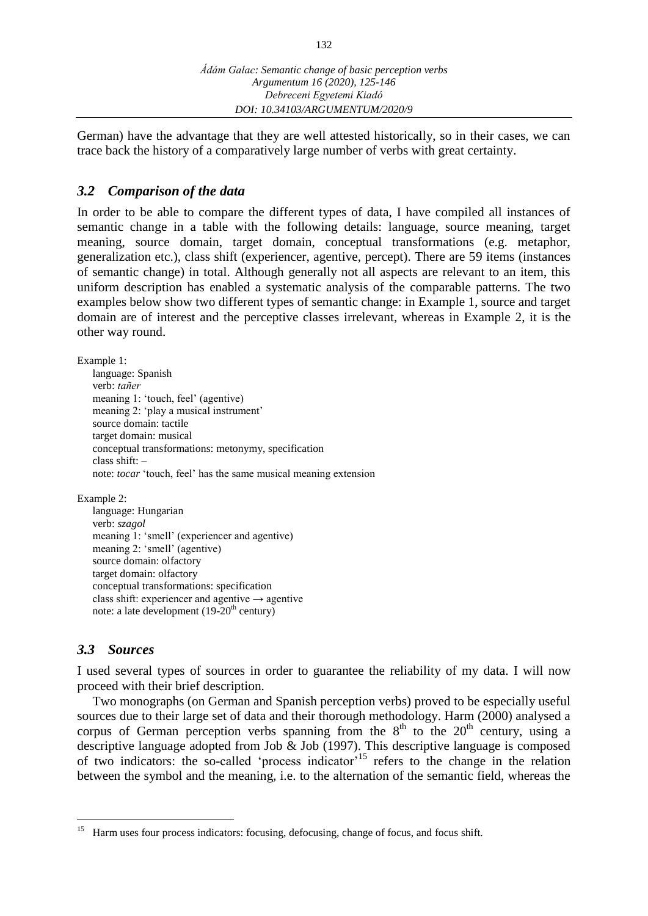German) have the advantage that they are well attested historically, so in their cases, we can trace back the history of a comparatively large number of verbs with great certainty.

## *3.2 Comparison of the data*

In order to be able to compare the different types of data, I have compiled all instances of semantic change in a table with the following details: language, source meaning, target meaning, source domain, target domain, conceptual transformations (e.g. metaphor, generalization etc.), class shift (experiencer, agentive, percept). There are 59 items (instances of semantic change) in total. Although generally not all aspects are relevant to an item, this uniform description has enabled a systematic analysis of the comparable patterns. The two examples below show two different types of semantic change: in Example 1, source and target domain are of interest and the perceptive classes irrelevant, whereas in Example 2, it is the other way round.

Example 1:

language: Spanish verb: *tañer* meaning 1: 'touch, feel' (agentive) meaning 2: 'play a musical instrument' source domain: tactile target domain: musical conceptual transformations: metonymy, specification class shift:  $$ note: *tocar* 'touch, feel' has the same musical meaning extension

Example 2:

```
language: Hungarian
verb: szagol
meaning 1: 'smell' (experiencer and agentive)
meaning 2: 'smell' (agentive)
source domain: olfactory
target domain: olfactory
conceptual transformations: specification
class shift: experiencer and agentive \rightarrow agentive
note: a late development (19-20<sup>th</sup> century)
```
## *3.3 Sources*

 $\overline{a}$ 

I used several types of sources in order to guarantee the reliability of my data. I will now proceed with their brief description.

Two monographs (on German and Spanish perception verbs) proved to be especially useful sources due to their large set of data and their thorough methodology. Harm (2000) analysed a corpus of German perception verbs spanning from the  $8<sup>th</sup>$  to the 20<sup>th</sup> century, using a descriptive language adopted from Job & Job (1997). This descriptive language is composed of two indicators: the so-called 'process indicator'<sup>15</sup> refers to the change in the relation between the symbol and the meaning, i.e. to the alternation of the semantic field, whereas the

<sup>&</sup>lt;sup>15</sup> Harm uses four process indicators: focusing, defocusing, change of focus, and focus shift.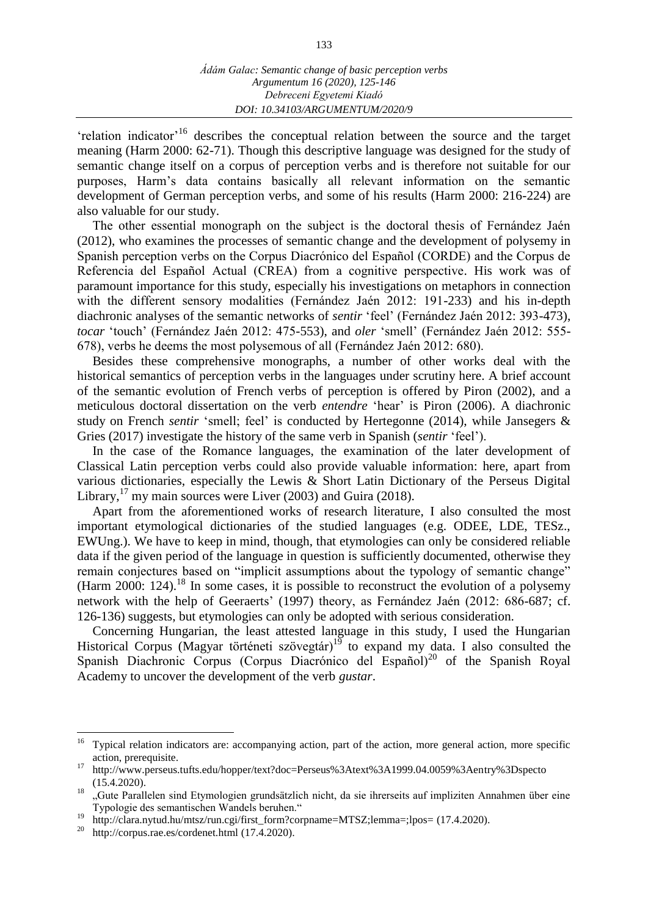'relation indicator'<sup>16</sup> describes the conceptual relation between the source and the target meaning (Harm 2000: 62-71). Though this descriptive language was designed for the study of semantic change itself on a corpus of perception verbs and is therefore not suitable for our purposes, Harm's data contains basically all relevant information on the semantic development of German perception verbs, and some of his results (Harm 2000: 216-224) are also valuable for our study.

The other essential monograph on the subject is the doctoral thesis of Fernández Jaén (2012), who examines the processes of semantic change and the development of polysemy in Spanish perception verbs on the Corpus Diacrónico del Español (CORDE) and the Corpus de Referencia del Español Actual (CREA) from a cognitive perspective. His work was of paramount importance for this study, especially his investigations on metaphors in connection with the different sensory modalities (Fernández Jaén 2012: 191-233) and his in-depth diachronic analyses of the semantic networks of *sentir* 'feel' (Fernández Jaén 2012: 393-473), *tocar* 'touch' (Fernández Jaén 2012: 475-553), and *oler* 'smell' (Fernández Jaén 2012: 555- 678), verbs he deems the most polysemous of all (Fernández Jaén 2012: 680).

Besides these comprehensive monographs, a number of other works deal with the historical semantics of perception verbs in the languages under scrutiny here. A brief account of the semantic evolution of French verbs of perception is offered by Piron (2002), and a meticulous doctoral dissertation on the verb *entendre* 'hear' is Piron (2006). A diachronic study on French *sentir* 'smell; feel' is conducted by Hertegonne (2014), while Jansegers & Gries (2017) investigate the history of the same verb in Spanish (*sentir* 'feel').

In the case of the Romance languages, the examination of the later development of Classical Latin perception verbs could also provide valuable information: here, apart from various dictionaries, especially the Lewis & Short Latin Dictionary of the Perseus Digital Library, $^{17}$  my main sources were Liver (2003) and Guira (2018).

Apart from the aforementioned works of research literature, I also consulted the most important etymological dictionaries of the studied languages (e.g. ODEE, LDE, TESz., EWUng.). We have to keep in mind, though, that etymologies can only be considered reliable data if the given period of the language in question is sufficiently documented, otherwise they remain conjectures based on "implicit assumptions about the typology of semantic change" (Harm 2000: 124).<sup>18</sup> In some cases, it is possible to reconstruct the evolution of a polysemy network with the help of Geeraerts' (1997) theory, as Fernández Jaén (2012: 686-687; cf. 126-136) suggests, but etymologies can only be adopted with serious consideration.

Concerning Hungarian, the least attested language in this study, I used the Hungarian Historical Corpus (Magyar történeti szövegtár)<sup>19</sup> to expand my data. I also consulted the Spanish Diachronic Corpus (Corpus Diacrónico del Español)<sup>20</sup> of the Spanish Royal Academy to uncover the development of the verb *gustar*.

<sup>16</sup> <sup>16</sup> Typical relation indicators are: accompanying action, part of the action, more general action, more specific action, prerequisite.

<sup>17</sup> <http://www.perseus.tufts.edu/hopper/text?doc=Perseus%3Atext%3A1999.04.0059%3Aentry%3Dspecto> (15.4.2020).

<sup>&</sup>lt;sup>18</sup> "Gute Parallelen sind Etymologien grundsätzlich nicht, da sie ihrerseits auf impliziten Annahmen über eine Typologie des semantischen Wandels beruhen."

<sup>&</sup>lt;sup>19</sup> [http://clara.nytud.hu/mtsz/run.cgi/first\\_form?corpname=MTSZ;lemma=;lpos=](http://clara.nytud.hu/mtsz/run.cgi/first_form?corpname=MTSZ;lemma=;lpos=) (17.4.2020).

<http://corpus.rae.es/cordenet.html> (17.4.2020).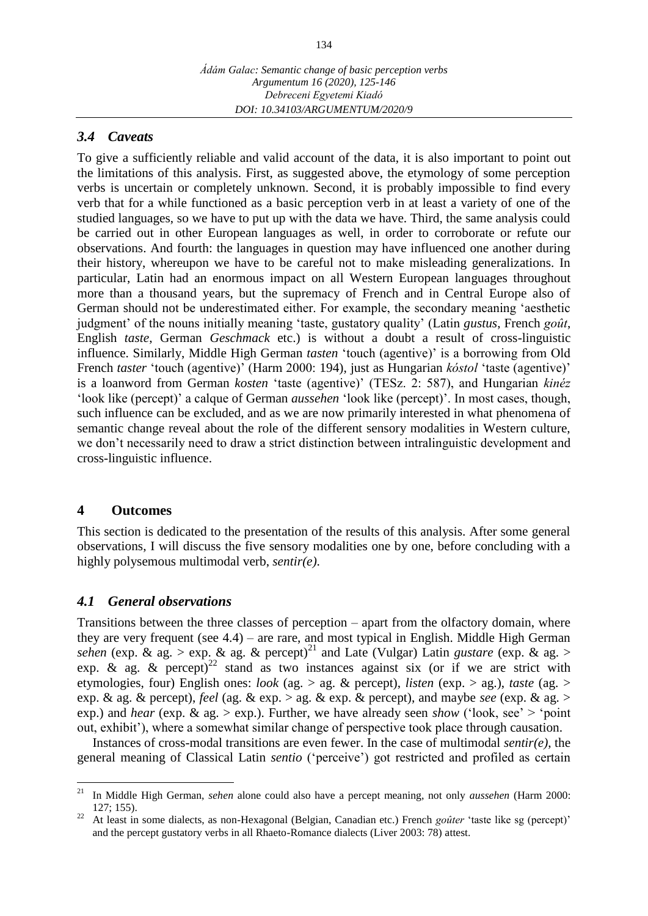#### *3.4 Caveats*

To give a sufficiently reliable and valid account of the data, it is also important to point out the limitations of this analysis. First, as suggested above, the etymology of some perception verbs is uncertain or completely unknown. Second, it is probably impossible to find every verb that for a while functioned as a basic perception verb in at least a variety of one of the studied languages, so we have to put up with the data we have. Third, the same analysis could be carried out in other European languages as well, in order to corroborate or refute our observations. And fourth: the languages in question may have influenced one another during their history, whereupon we have to be careful not to make misleading generalizations. In particular, Latin had an enormous impact on all Western European languages throughout more than a thousand years, but the supremacy of French and in Central Europe also of German should not be underestimated either. For example, the secondary meaning 'aesthetic judgment' of the nouns initially meaning 'taste, gustatory quality' (Latin *gustus*, French *goût*, English *taste*, German *Geschmack* etc.) is without a doubt a result of cross-linguistic influence. Similarly, Middle High German *tasten* 'touch (agentive)' is a borrowing from Old French *taster* 'touch (agentive)' (Harm 2000: 194), just as Hungarian *kóstol* 'taste (agentive)' is a loanword from German *kosten* 'taste (agentive)' (TESz. 2: 587), and Hungarian *kinéz* 'look like (percept)' a calque of German *aussehen* 'look like (percept)'. In most cases, though, such influence can be excluded, and as we are now primarily interested in what phenomena of semantic change reveal about the role of the different sensory modalities in Western culture, we don't necessarily need to draw a strict distinction between intralinguistic development and cross-linguistic influence.

#### **4 Outcomes**

This section is dedicated to the presentation of the results of this analysis. After some general observations, I will discuss the five sensory modalities one by one, before concluding with a highly polysemous multimodal verb, *sentir(e)*.

#### *4.1 General observations*

Transitions between the three classes of perception – apart from the olfactory domain, where they are very frequent (see 4.4) – are rare, and most typical in English. Middle High German *sehen* (exp.  $\&$  ag. > exp.  $\&$  ag.  $\&$  percept)<sup>21</sup> and Late (Vulgar) Latin *gustare* (exp.  $\&$  ag. > exp. & ag. & percept)<sup>22</sup> stand as two instances against six (or if we are strict with etymologies, four) English ones: *look* (ag. > ag. & percept), *listen* (exp. > ag.), *taste* (ag. > exp. & ag. & percept), *feel* (ag. & exp. > ag. & exp. & percept), and maybe *see* (exp. & ag. > exp.) and *hear* (exp. & ag. > exp.). Further, we have already seen *show* ('look, see' > 'point out, exhibit'), where a somewhat similar change of perspective took place through causation.

Instances of cross-modal transitions are even fewer. In the case of multimodal *sentir(e)*, the general meaning of Classical Latin *sentio* ('perceive') got restricted and profiled as certain

 $21$ <sup>21</sup> In Middle High German, *sehen* alone could also have a percept meaning, not only *aussehen* (Harm 2000: 127; 155).

<sup>&</sup>lt;sup>22</sup> At least in some dialects, as non-Hexagonal (Belgian, Canadian etc.) French *goûter* 'taste like sg (percept)' and the percept gustatory verbs in all Rhaeto-Romance dialects (Liver 2003: 78) attest.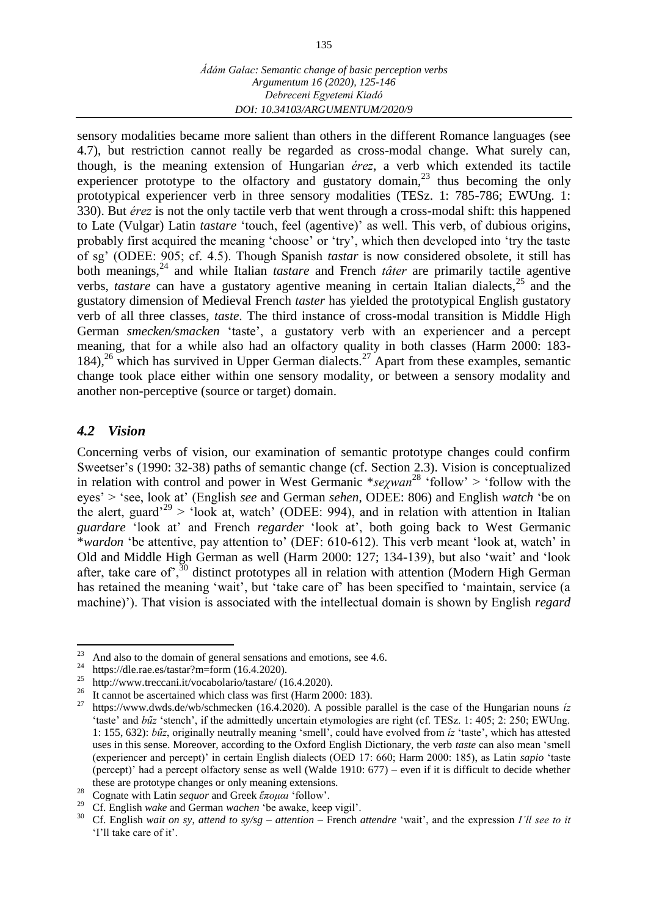sensory modalities became more salient than others in the different Romance languages (see 4.7), but restriction cannot really be regarded as cross-modal change. What surely can, though, is the meaning extension of Hungarian *érez*, a verb which extended its tactile experiencer prototype to the olfactory and gustatory domain,<sup>23</sup> thus becoming the only prototypical experiencer verb in three sensory modalities (TESz. 1: 785-786; EWUng. 1: 330). But *érez* is not the only tactile verb that went through a cross-modal shift: this happened to Late (Vulgar) Latin *tastare* 'touch, feel (agentive)' as well. This verb, of dubious origins, probably first acquired the meaning 'choose' or 'try', which then developed into 'try the taste of sg' (ODEE: 905; cf. 4.5). Though Spanish *tastar* is now considered obsolete, it still has both meanings,<sup>24</sup> and while Italian *tastare* and French *tâter* are primarily tactile agentive verbs, *tastare* can have a gustatory agentive meaning in certain Italian dialects,  $2^5$  and the gustatory dimension of Medieval French *taster* has yielded the prototypical English gustatory verb of all three classes, *taste*. The third instance of cross-modal transition is Middle High German *smecken/smacken* 'taste', a gustatory verb with an experiencer and a percept meaning, that for a while also had an olfactory quality in both classes (Harm 2000: 183- 184),<sup>26</sup> which has survived in Upper German dialects.<sup>27</sup> Apart from these examples, semantic change took place either within one sensory modality, or between a sensory modality and another non-perceptive (source or target) domain.

## *4.2 Vision*

Concerning verbs of vision, our examination of semantic prototype changes could confirm Sweetser's (1990: 32-38) paths of semantic change (cf. Section 2.3). Vision is conceptualized in relation with control and power in West Germanic \**seχwan* <sup>28</sup> 'follow' > 'follow with the eyes' > 'see, look at' (English *see* and German *sehen*, ODEE: 806) and English *watch* 'be on the alert, guard<sup> $29$ </sup> > 'look at, watch' (ODEE: 994), and in relation with attention in Italian *guardare* 'look at' and French *regarder* 'look at', both going back to West Germanic \**wardon* 'be attentive, pay attention to' (DEF: 610-612). This verb meant 'look at, watch' in Old and Middle High German as well (Harm 2000: 127; 134-139), but also 'wait' and 'look after, take care of<sup>7</sup>,<sup>30</sup> distinct prototypes all in relation with attention (Modern High German has retained the meaning 'wait', but 'take care of' has been specified to 'maintain, service (a machine)'). That vision is associated with the intellectual domain is shown by English *regard*

<sup>23</sup> <sup>23</sup> And also to the domain of general sensations and emotions, see 4.6.<br><sup>24</sup> Muscle 11 mag batter 2 m from (16.4.2020)

<sup>&</sup>lt;sup>24</sup> <https://dle.rae.es/tastar?m=form> (16.4.2020).

<http://www.treccani.it/vocabolario/tastare/> (16.4.2020).

<sup>&</sup>lt;sup>26</sup> It cannot be ascertained which class was first (Harm 2000: 183).

<sup>27</sup> <https://www.dwds.de/wb/schmecken> (16.4.2020). A possible parallel is the case of the Hungarian nouns *íz* 'taste' and *bűz* 'stench', if the admittedly uncertain etymologies are right (cf. TESz. 1: 405; 2: 250; EWUng. 1: 155, 632): *bűz*, originally neutrally meaning 'smell', could have evolved from *íz* 'taste', which has attested uses in this sense. Moreover, according to the Oxford English Dictionary, the verb *taste* can also mean 'smell (experiencer and percept)' in certain English dialects (OED 17: 660; Harm 2000: 185), as Latin *sapio* 'taste (percept)' had a percept olfactory sense as well (Walde 1910: 677) – even if it is difficult to decide whether these are prototype changes or only meaning extensions.

<sup>28</sup> Cognate with Latin *sequor* and Greek *ἕπομαι* 'follow'.

<sup>29</sup> Cf. English *wake* and German *wachen* 'be awake, keep vigil'.

<sup>30</sup> Cf. English *wait on sy*, *attend to sy/sg* – *attention* – French *attendre* 'wait', and the expression *I'll see to it* 'I'll take care of it'.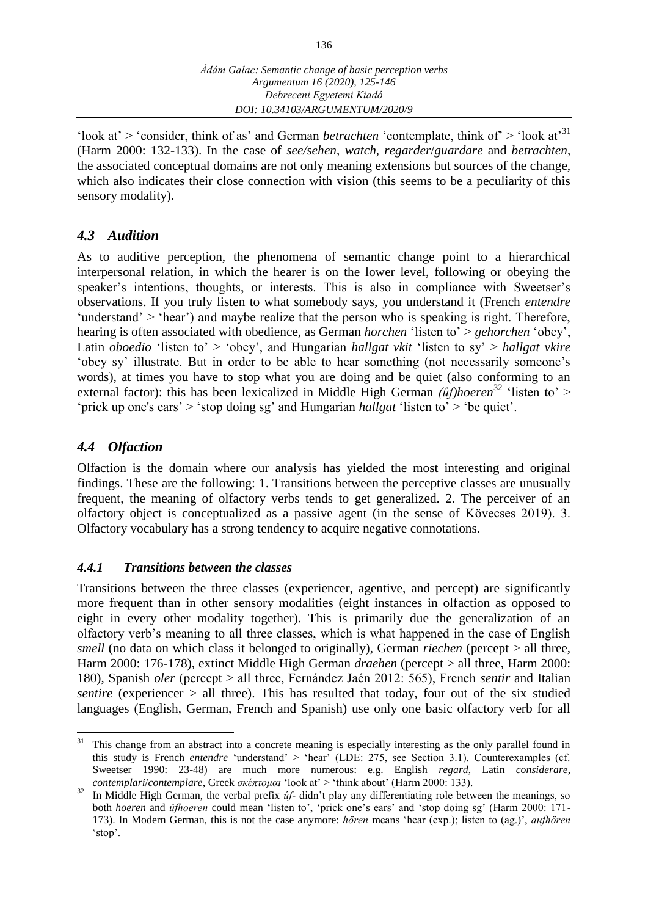'look at' > 'consider, think of as' and German *betrachten* 'contemplate, think of' > 'look at'<sup>31</sup> (Harm 2000: 132-133). In the case of *see/sehen*, *watch*, *regarder*/*guardare* and *betrachten*, the associated conceptual domains are not only meaning extensions but sources of the change, which also indicates their close connection with vision (this seems to be a peculiarity of this sensory modality).

## *4.3 Audition*

As to auditive perception, the phenomena of semantic change point to a hierarchical interpersonal relation, in which the hearer is on the lower level, following or obeying the speaker's intentions, thoughts, or interests. This is also in compliance with Sweetser's observations. If you truly listen to what somebody says, you understand it (French *entendre* 'understand' > 'hear') and maybe realize that the person who is speaking is right. Therefore, hearing is often associated with obedience, as German *horchen* 'listen to' > *gehorchen* 'obey', Latin *oboedio* 'listen to' > 'obey', and Hungarian *hallgat vkit* 'listen to sy' > *hallgat vkire* 'obey sy' illustrate. But in order to be able to hear something (not necessarily someone's words), at times you have to stop what you are doing and be quiet (also conforming to an external factor): this has been lexicalized in Middle High German *(ûf)hoeren*<sup>32</sup> 'listen to' > 'prick up one's ears' > 'stop doing sg' and Hungarian *hallgat* 'listen to' > 'be quiet'.

## *4.4 Olfaction*

Olfaction is the domain where our analysis has yielded the most interesting and original findings. These are the following: 1. Transitions between the perceptive classes are unusually frequent, the meaning of olfactory verbs tends to get generalized. 2. The perceiver of an olfactory object is conceptualized as a passive agent (in the sense of Kövecses 2019). 3. Olfactory vocabulary has a strong tendency to acquire negative connotations.

## *4.4.1 Transitions between the classes*

Transitions between the three classes (experiencer, agentive, and percept) are significantly more frequent than in other sensory modalities (eight instances in olfaction as opposed to eight in every other modality together). This is primarily due the generalization of an olfactory verb's meaning to all three classes, which is what happened in the case of English *smell* (no data on which class it belonged to originally), German *riechen* (percept > all three, Harm 2000: 176-178), extinct Middle High German *draehen* (percept > all three, Harm 2000: 180), Spanish *oler* (percept > all three, Fernández Jaén 2012: 565), French *sentir* and Italian *sentire* (experiencer  $>$  all three). This has resulted that today, four out of the six studied languages (English, German, French and Spanish) use only one basic olfactory verb for all

<sup>31</sup> This change from an abstract into a concrete meaning is especially interesting as the only parallel found in this study is French *entendre* 'understand' > 'hear' (LDE: 275, see Section 3.1). Counterexamples (cf. Sweetser 1990: 23-48) are much more numerous: e.g. English *regard*, Latin *considerare*, *contemplari*/*contemplare*, Greek *σκέπτομαι* 'look at' > 'think about' (Harm 2000: 133).

<sup>32</sup> In Middle High German, the verbal prefix *ûf-* didn't play any differentiating role between the meanings, so both *hoeren* and *ûfhoeren* could mean 'listen to', 'prick one's ears' and 'stop doing sg' (Harm 2000: 171- 173). In Modern German, this is not the case anymore: *hören* means 'hear (exp.); listen to (ag.)', *aufhören* 'stop'.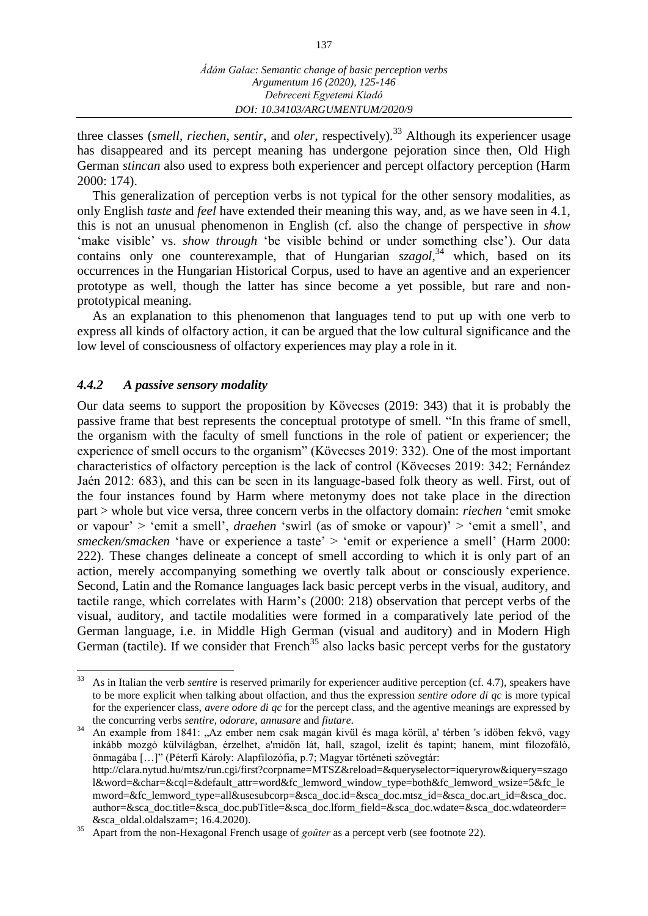three classes (*smell, riechen, sentir, and oler, respectively*).<sup>33</sup> Although its experiencer usage has disappeared and its percept meaning has undergone pejoration since then, Old High German *stincan* also used to express both experiencer and percept olfactory perception (Harm 2000: 174).

This generalization of perception verbs is not typical for the other sensory modalities, as only English *taste* and *feel* have extended their meaning this way, and, as we have seen in 4.1, this is not an unusual phenomenon in English (cf*.* also the change of perspective in *show* 'make visible' vs. *show through* 'be visible behind or under something else'). Our data contains only one counterexample, that of Hungarian *szagol*, <sup>34</sup> which, based on its occurrences in the Hungarian Historical Corpus, used to have an agentive and an experiencer prototype as well, though the latter has since become a yet possible, but rare and nonprototypical meaning.

As an explanation to this phenomenon that languages tend to put up with one verb to express all kinds of olfactory action, it can be argued that the low cultural significance and the low level of consciousness of olfactory experiences may play a role in it.

### *4.4.2 A passive sensory modality*

Our data seems to support the proposition by Kövecses (2019: 343) that it is probably the passive frame that best represents the conceptual prototype of smell. "In this frame of smell, the organism with the faculty of smell functions in the role of patient or experiencer; the experience of smell occurs to the organism" (Kövecses 2019: 332). One of the most important characteristics of olfactory perception is the lack of control (Kövecses 2019: 342; Fernández Jaén 2012: 683), and this can be seen in its language-based folk theory as well. First, out of the four instances found by Harm where metonymy does not take place in the direction part > whole but vice versa, three concern verbs in the olfactory domain: *riechen* 'emit smoke or vapour' > 'emit a smell', *draehen* 'swirl (as of smoke or vapour)' > 'emit a smell', and *smecken/smacken* 'have or experience a taste' > 'emit or experience a smell' (Harm 2000: 222). These changes delineate a concept of smell according to which it is only part of an action, merely accompanying something we overtly talk about or consciously experience. Second, Latin and the Romance languages lack basic percept verbs in the visual, auditory, and tactile range, which correlates with Harm's (2000: 218) observation that percept verbs of the visual, auditory, and tactile modalities were formed in a comparatively late period of the German language, i.e. in Middle High German (visual and auditory) and in Modern High German (tactile). If we consider that French<sup>35</sup> also lacks basic percept verbs for the gustatory

 $\overline{a}$ <sup>33</sup> As in Italian the verb *sentire* is reserved primarily for experiencer auditive perception (cf. 4.7), speakers have to be more explicit when talking about olfaction, and thus the expression *sentire odore di qc* is more typical for the experiencer class, *avere odore di qc* for the percept class, and the agentive meanings are expressed by the concurring verbs *sentire*, *odorare*, *annusare* and *fiutare*.

<sup>&</sup>lt;sup>34</sup> An example from 1841: "Az ember nem csak magán kivül és maga körül, a' térben 's időben fekvő, vagy inkább mozgó külvilágban, érzelhet, a'midőn lát, hall, szagol, ízelít és tapint; hanem, mint filozofáló, önmagába […]" (Péterfi Károly: Alapfilozófia, p.7; Magyar történeti szövegtár: [http://clara.nytud.hu/mtsz/run.cgi/first?corpname=MTSZ&reload=&queryselector=iqueryrow&iquery=szago](http://clara.nytud.hu/mtsz/run.cgi/first?corpname=MTSZ&reload=&queryselector=iqueryrow&iquery=szagol&word=&char=&cql=&default_attr=word&fc_lemword_window_type=both&fc_lemword_wsize=5&fc_lemword=&fc_lemword_type=all&usesubcorp=&sca_doc.id=&sca_doc.mtsz_id=&sca_doc.art_id=&sca_doc.author=&sca_doc.title=&sca_doc.pubTitle=&sca_doc.lform_field=&sca_doc.wdate=&sca_doc.wdateorder=&sca_oldal.oldalszam=) [l&word=&char=&cql=&default\\_attr=word&fc\\_lemword\\_window\\_type=both&fc\\_lemword\\_wsize=5&fc\\_le](http://clara.nytud.hu/mtsz/run.cgi/first?corpname=MTSZ&reload=&queryselector=iqueryrow&iquery=szagol&word=&char=&cql=&default_attr=word&fc_lemword_window_type=both&fc_lemword_wsize=5&fc_lemword=&fc_lemword_type=all&usesubcorp=&sca_doc.id=&sca_doc.mtsz_id=&sca_doc.art_id=&sca_doc.author=&sca_doc.title=&sca_doc.pubTitle=&sca_doc.lform_field=&sca_doc.wdate=&sca_doc.wdateorder=&sca_oldal.oldalszam=) [mword=&fc\\_lemword\\_type=all&usesubcorp=&sca\\_doc.id=&sca\\_doc.mtsz\\_id=&sca\\_doc.art\\_id=&sca\\_doc.](http://clara.nytud.hu/mtsz/run.cgi/first?corpname=MTSZ&reload=&queryselector=iqueryrow&iquery=szagol&word=&char=&cql=&default_attr=word&fc_lemword_window_type=both&fc_lemword_wsize=5&fc_lemword=&fc_lemword_type=all&usesubcorp=&sca_doc.id=&sca_doc.mtsz_id=&sca_doc.art_id=&sca_doc.author=&sca_doc.title=&sca_doc.pubTitle=&sca_doc.lform_field=&sca_doc.wdate=&sca_doc.wdateorder=&sca_oldal.oldalszam=) [author=&sca\\_doc.title=&sca\\_doc.pubTitle=&sca\\_doc.lform\\_field=&sca\\_doc.wdate=&sca\\_doc.wdateorder=](http://clara.nytud.hu/mtsz/run.cgi/first?corpname=MTSZ&reload=&queryselector=iqueryrow&iquery=szagol&word=&char=&cql=&default_attr=word&fc_lemword_window_type=both&fc_lemword_wsize=5&fc_lemword=&fc_lemword_type=all&usesubcorp=&sca_doc.id=&sca_doc.mtsz_id=&sca_doc.art_id=&sca_doc.author=&sca_doc.title=&sca_doc.pubTitle=&sca_doc.lform_field=&sca_doc.wdate=&sca_doc.wdateorder=&sca_oldal.oldalszam=) [&sca\\_oldal.oldalszam=;](http://clara.nytud.hu/mtsz/run.cgi/first?corpname=MTSZ&reload=&queryselector=iqueryrow&iquery=szagol&word=&char=&cql=&default_attr=word&fc_lemword_window_type=both&fc_lemword_wsize=5&fc_lemword=&fc_lemword_type=all&usesubcorp=&sca_doc.id=&sca_doc.mtsz_id=&sca_doc.art_id=&sca_doc.author=&sca_doc.title=&sca_doc.pubTitle=&sca_doc.lform_field=&sca_doc.wdate=&sca_doc.wdateorder=&sca_oldal.oldalszam=) 16.4.2020).

<sup>&</sup>lt;sup>35</sup> Apart from the non-Hexagonal French usage of *goûter* as a percept verb (see footnote 22).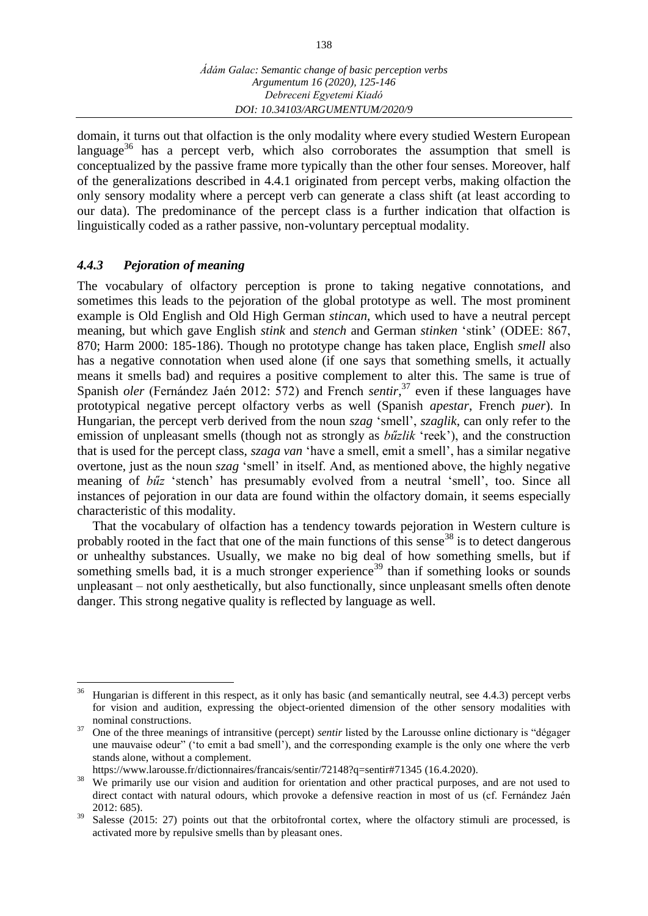138

domain, it turns out that olfaction is the only modality where every studied Western European language<sup>36</sup> has a percept verb, which also corroborates the assumption that smell is conceptualized by the passive frame more typically than the other four senses. Moreover, half of the generalizations described in 4.4.1 originated from percept verbs, making olfaction the only sensory modality where a percept verb can generate a class shift (at least according to our data). The predominance of the percept class is a further indication that olfaction is linguistically coded as a rather passive, non-voluntary perceptual modality.

## *4.4.3 Pejoration of meaning*

The vocabulary of olfactory perception is prone to taking negative connotations, and sometimes this leads to the pejoration of the global prototype as well. The most prominent example is Old English and Old High German *stincan*, which used to have a neutral percept meaning, but which gave English *stink* and *stench* and German *stinken* 'stink' (ODEE: 867, 870; Harm 2000: 185-186). Though no prototype change has taken place, English *smell* also has a negative connotation when used alone (if one says that something smells, it actually means it smells bad) and requires a positive complement to alter this. The same is true of Spanish *oler* (Fernández Jaén 2012: 572) and French *sentir*, <sup>37</sup> even if these languages have prototypical negative percept olfactory verbs as well (Spanish *apestar*, French *puer*). In Hungarian, the percept verb derived from the noun *szag* 'smell', *szaglik*, can only refer to the emission of unpleasant smells (though not as strongly as *bu<sup>z</sup>lik* 'reek'), and the construction that is used for the percept class, *szaga van* 'have a smell, emit a smell', has a similar negative overtone, just as the noun *szag* 'smell' in itself. And, as mentioned above, the highly negative meaning of *bűz* 'stench' has presumably evolved from a neutral 'smell', too. Since all instances of pejoration in our data are found within the olfactory domain, it seems especially characteristic of this modality.

That the vocabulary of olfaction has a tendency towards pejoration in Western culture is probably rooted in the fact that one of the main functions of this sense  $38$  is to detect dangerous or unhealthy substances. Usually, we make no big deal of how something smells, but if something smells bad, it is a much stronger experience<sup>39</sup> than if something looks or sounds unpleasant – not only aesthetically, but also functionally, since unpleasant smells often denote danger. This strong negative quality is reflected by language as well.

<sup>36</sup> <sup>36</sup> Hungarian is different in this respect, as it only has basic (and semantically neutral, see 4.4.3) percept verbs for vision and audition, expressing the object-oriented dimension of the other sensory modalities with nominal constructions.

<sup>37</sup> One of the three meanings of intransitive (percept) *sentir* listed by the Larousse online dictionary is "dégager une mauvaise odeur" ('to emit a bad smell'), and the corresponding example is the only one where the verb stands alone, without a complement.

<https://www.larousse.fr/dictionnaires/francais/sentir/72148?q=sentir#71345> (16.4.2020).

<sup>&</sup>lt;sup>38</sup> We primarily use our vision and audition for orientation and other practical purposes, and are not used to direct contact with natural odours, which provoke a defensive reaction in most of us (cf. Fernández Jaén 2012: 685).

<sup>&</sup>lt;sup>39</sup> Salesse (2015: 27) points out that the orbitofrontal cortex, where the olfactory stimuli are processed, is activated more by repulsive smells than by pleasant ones.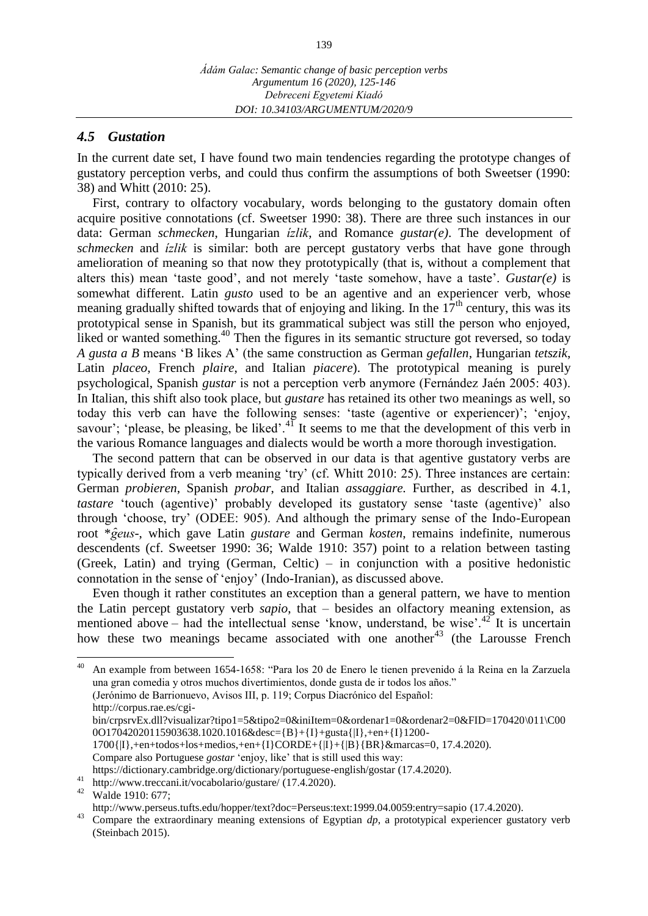#### *4.5 Gustation*

In the current date set, I have found two main tendencies regarding the prototype changes of gustatory perception verbs, and could thus confirm the assumptions of both Sweetser (1990: 38) and Whitt (2010: 25).

First, contrary to olfactory vocabulary, words belonging to the gustatory domain often acquire positive connotations (cf. Sweetser 1990: 38). There are three such instances in our data: German *schmecken*, Hungarian *ízlik*, and Romance *gustar(e)*. The development of *schmecken* and *ízlik* is similar: both are percept gustatory verbs that have gone through amelioration of meaning so that now they prototypically (that is, without a complement that alters this) mean 'taste good', and not merely 'taste somehow, have a taste'. *Gustar(e)* is somewhat different. Latin *gusto* used to be an agentive and an experiencer verb, whose meaning gradually shifted towards that of enjoying and liking. In the  $17<sup>th</sup>$  century, this was its prototypical sense in Spanish, but its grammatical subject was still the person who enjoyed, liked or wanted something.<sup>40</sup> Then the figures in its semantic structure got reversed, so today *A gusta a B* means 'B likes A' (the same construction as German *gefallen*, Hungarian *tetszik*, Latin *placeo*, French *plaire*, and Italian *piacere*). The prototypical meaning is purely psychological, Spanish *gustar* is not a perception verb anymore (Fernández Jaén 2005: 403). In Italian, this shift also took place, but *gustare* has retained its other two meanings as well, so today this verb can have the following senses: 'taste (agentive or experiencer)'; 'enjoy, savour'; 'please, be pleasing, be liked'.<sup>41</sup> It seems to me that the development of this verb in the various Romance languages and dialects would be worth a more thorough investigation.

The second pattern that can be observed in our data is that agentive gustatory verbs are typically derived from a verb meaning 'try' (cf. Whitt 2010: 25). Three instances are certain: German *probieren*, Spanish *probar*, and Italian *assaggiare.* Further, as described in 4.1, *tastare* 'touch (agentive)' probably developed its gustatory sense 'taste (agentive)' also through 'choose, try' (ODEE: 905). And although the primary sense of the Indo-European root \**g eus*-, which gave Latin *gustare* and German *kosten*, remains indefinite, numerous descendents (cf. Sweetser 1990: 36; Walde 1910: 357) point to a relation between tasting (Greek, Latin) and trying (German, Celtic) – in conjunction with a positive hedonistic connotation in the sense of 'enjoy' (Indo-Iranian), as discussed above.

Even though it rather constitutes an exception than a general pattern, we have to mention the Latin percept gustatory verb *sapio*, that – besides an olfactory meaning extension, as mentioned above – had the intellectual sense 'know, understand, be wise'.<sup>42</sup> It is uncertain how these two meanings became associated with one another<sup>43</sup> (the Larousse French

 $40\,$ <sup>40</sup> An example from between 1654-1658: "Para los 20 de Enero le tienen prevenido á la Reina en la Zarzuela una gran comedia y otros muchos divertimientos, donde gusta de ir todos los años." (Jerónimo de Barrionuevo, Avisos III, p. 119; Corpus Diacrónico del Español: [http://corpus.rae.es/cgi](http://corpus.rae.es/cgi-bin/crpsrvEx.dll?visualizar?tipo1=5&tipo2=0&iniItem=0&ordenar1=0&ordenar2=0&FID=170420/011/C000O17042020115903638.1020.1016&desc=%7bB%7d+%7bI%7d+gusta%7b|I%7d,+en+%7bI%7d1200-1700%7b|I%7d,+en+todos+los+medios,+en+%7bI%7dCORDE+%7b|I%7d+%7b|B%7d%7bBR%7d&marcas=0)[bin/crpsrvEx.dll?visualizar?tipo1=5&tipo2=0&iniItem=0&ordenar1=0&ordenar2=0&FID=170420\011\C00](http://corpus.rae.es/cgi-bin/crpsrvEx.dll?visualizar?tipo1=5&tipo2=0&iniItem=0&ordenar1=0&ordenar2=0&FID=170420/011/C000O17042020115903638.1020.1016&desc=%7bB%7d+%7bI%7d+gusta%7b|I%7d,+en+%7bI%7d1200-1700%7b|I%7d,+en+todos+los+medios,+en+%7bI%7dCORDE+%7b|I%7d+%7b|B%7d%7bBR%7d&marcas=0) [0O17042020115903638.1020.1016&desc={B}+{I}+gusta{|I},+en+{I}1200-](http://corpus.rae.es/cgi-bin/crpsrvEx.dll?visualizar?tipo1=5&tipo2=0&iniItem=0&ordenar1=0&ordenar2=0&FID=170420/011/C000O17042020115903638.1020.1016&desc=%7bB%7d+%7bI%7d+gusta%7b|I%7d,+en+%7bI%7d1200-1700%7b|I%7d,+en+todos+los+medios,+en+%7bI%7dCORDE+%7b|I%7d+%7b|B%7d%7bBR%7d&marcas=0) [1700{|I},+en+todos+los+medios,+en+{I}CORDE+{|I}+{|B}{BR}&marcas=0,](http://corpus.rae.es/cgi-bin/crpsrvEx.dll?visualizar?tipo1=5&tipo2=0&iniItem=0&ordenar1=0&ordenar2=0&FID=170420/011/C000O17042020115903638.1020.1016&desc=%7bB%7d+%7bI%7d+gusta%7b|I%7d,+en+%7bI%7d1200-1700%7b|I%7d,+en+todos+los+medios,+en+%7bI%7dCORDE+%7b|I%7d+%7b|B%7d%7bBR%7d&marcas=0) 17.4.2020). Compare also Portuguese *gostar* 'enjoy, like' that is still used this way: <https://dictionary.cambridge.org/dictionary/portuguese-english/gostar> (17.4.2020). <sup>41</sup> <http://www.treccani.it/vocabolario/gustare/> (17.4.2020).

<sup>42</sup> Walde 1910: 677;

<http://www.perseus.tufts.edu/hopper/text?doc=Perseus:text:1999.04.0059:entry=sapio> (17.4.2020).

<sup>43</sup> Compare the extraordinary meaning extensions of Egyptian *dp*, a prototypical experiencer gustatory verb (Steinbach 2015).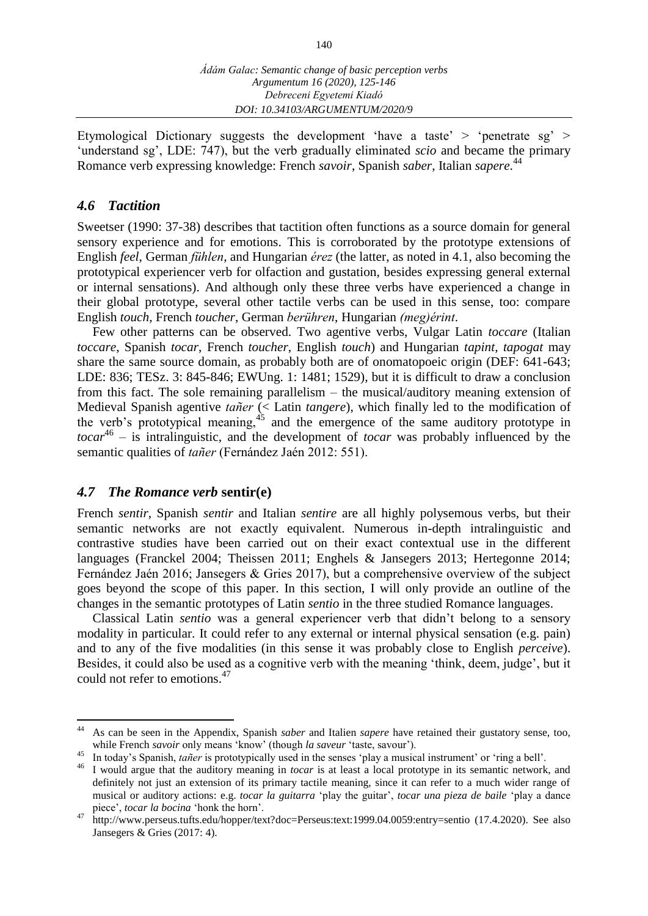Etymological Dictionary suggests the development 'have a taste' > 'penetrate sg' > 'understand sg', LDE: 747), but the verb gradually eliminated *scio* and became the primary Romance verb expressing knowledge: French *savoir*, Spanish *saber*, Italian *sapere*. 44

#### *4.6 Tactition*

Sweetser (1990: 37-38) describes that tactition often functions as a source domain for general sensory experience and for emotions. This is corroborated by the prototype extensions of English *feel*, German *fühlen*, and Hungarian *érez* (the latter, as noted in 4.1, also becoming the prototypical experiencer verb for olfaction and gustation, besides expressing general external or internal sensations). And although only these three verbs have experienced a change in their global prototype, several other tactile verbs can be used in this sense, too: compare English *touch*, French *toucher*, German *berühren*, Hungarian *(meg)érint*.

Few other patterns can be observed. Two agentive verbs, Vulgar Latin *toccare* (Italian *toccare*, Spanish *tocar*, French *toucher*, English *touch*) and Hungarian *tapint*, *tapogat* may share the same source domain, as probably both are of onomatopoeic origin (DEF: 641-643; LDE: 836; TESz. 3: 845-846; EWUng. 1: 1481; 1529), but it is difficult to draw a conclusion from this fact. The sole remaining parallelism – the musical/auditory meaning extension of Medieval Spanish agentive *tañer* (< Latin *tangere*), which finally led to the modification of the verb's prototypical meaning,  $45$  and the emergence of the same auditory prototype in *tocar*<sup>46</sup> – is intralinguistic, and the development of *tocar* was probably influenced by the semantic qualities of *tañer* (Fernández Jaén 2012: 551).

#### *4.7 The Romance verb* **sentir(e)**

French *sentir*, Spanish *sentir* and Italian *sentire* are all highly polysemous verbs, but their semantic networks are not exactly equivalent. Numerous in-depth intralinguistic and contrastive studies have been carried out on their exact contextual use in the different languages (Franckel 2004; Theissen 2011; Enghels & Jansegers 2013; Hertegonne 2014; Fernández Jaén 2016; Jansegers & Gries 2017), but a comprehensive overview of the subject goes beyond the scope of this paper. In this section, I will only provide an outline of the changes in the semantic prototypes of Latin *sentio* in the three studied Romance languages.

Classical Latin *sentio* was a general experiencer verb that didn't belong to a sensory modality in particular. It could refer to any external or internal physical sensation (e.g. pain) and to any of the five modalities (in this sense it was probably close to English *perceive*). Besides, it could also be used as a cognitive verb with the meaning 'think, deem, judge', but it could not refer to emotions.<sup>47</sup>

<sup>44</sup> <sup>44</sup> As can be seen in the Appendix, Spanish *saber* and Italien *sapere* have retained their gustatory sense, too, while French *savoir* only means 'know' (though *la saveur* 'taste, savour').

<sup>&</sup>lt;sup>45</sup> In today's Spanish, *tañer* is prototypically used in the senses 'play a musical instrument' or 'ring a bell'.

<sup>46</sup> I would argue that the auditory meaning in *tocar* is at least a local prototype in its semantic network, and definitely not just an extension of its primary tactile meaning, since it can refer to a much wider range of musical or auditory actions: e.g. *tocar la guitarra* 'play the guitar', *tocar una pieza de baile* 'play a dance piece', *tocar la bocina* 'honk the horn'.

<sup>47</sup> <http://www.perseus.tufts.edu/hopper/text?doc=Perseus:text:1999.04.0059:entry=sentio> (17.4.2020). See also Jansegers & Gries (2017: 4).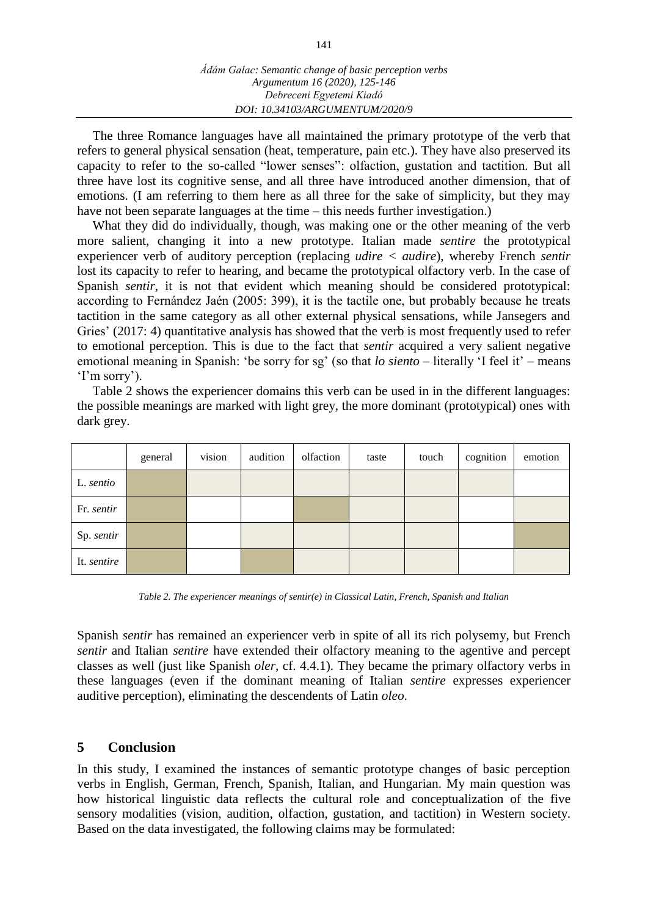The three Romance languages have all maintained the primary prototype of the verb that refers to general physical sensation (heat, temperature, pain etc.). They have also preserved its capacity to refer to the so-called "lower senses": olfaction, gustation and tactition. But all three have lost its cognitive sense, and all three have introduced another dimension, that of emotions. (I am referring to them here as all three for the sake of simplicity, but they may have not been separate languages at the time – this needs further investigation.)

What they did do individually, though, was making one or the other meaning of the verb more salient, changing it into a new prototype. Italian made *sentire* the prototypical experiencer verb of auditory perception (replacing *udire < audire*), whereby French *sentir* lost its capacity to refer to hearing, and became the prototypical olfactory verb. In the case of Spanish *sentir*, it is not that evident which meaning should be considered prototypical: according to Fernández Jaén (2005: 399), it is the tactile one, but probably because he treats tactition in the same category as all other external physical sensations, while Jansegers and Gries' (2017: 4) quantitative analysis has showed that the verb is most frequently used to refer to emotional perception. This is due to the fact that *sentir* acquired a very salient negative emotional meaning in Spanish: 'be sorry for sg' (so that *lo siento* – literally 'I feel it' – means 'I'm sorry').

Table 2 shows the experiencer domains this verb can be used in in the different languages: the possible meanings are marked with light grey, the more dominant (prototypical) ones with dark grey.

|             | general | vision | audition | olfaction | taste | touch | cognition | emotion |
|-------------|---------|--------|----------|-----------|-------|-------|-----------|---------|
| L. sentio   |         |        |          |           |       |       |           |         |
| Fr. sentir  |         |        |          |           |       |       |           |         |
| Sp. sentir  |         |        |          |           |       |       |           |         |
| It. sentire |         |        |          |           |       |       |           |         |

*Table 2. The experiencer meanings of sentir(e) in Classical Latin, French, Spanish and Italian*

Spanish *sentir* has remained an experiencer verb in spite of all its rich polysemy, but French *sentir* and Italian *sentire* have extended their olfactory meaning to the agentive and percept classes as well (just like Spanish *oler*, cf. 4.4.1). They became the primary olfactory verbs in these languages (even if the dominant meaning of Italian *sentire* expresses experiencer auditive perception), eliminating the descendents of Latin *oleo*.

## **5 Conclusion**

In this study, I examined the instances of semantic prototype changes of basic perception verbs in English, German, French, Spanish, Italian, and Hungarian. My main question was how historical linguistic data reflects the cultural role and conceptualization of the five sensory modalities (vision, audition, olfaction, gustation, and tactition) in Western society. Based on the data investigated, the following claims may be formulated: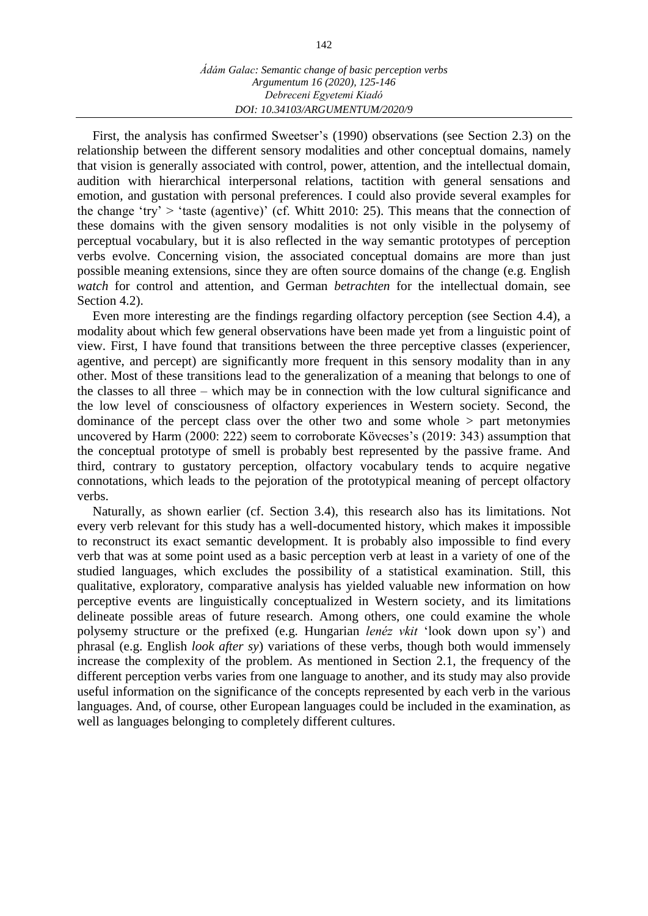First, the analysis has confirmed Sweetser's (1990) observations (see Section 2.3) on the relationship between the different sensory modalities and other conceptual domains, namely that vision is generally associated with control, power, attention, and the intellectual domain, audition with hierarchical interpersonal relations, tactition with general sensations and emotion, and gustation with personal preferences. I could also provide several examples for the change 'try'  $>$  'taste (agentive)' (cf. Whitt 2010: 25). This means that the connection of these domains with the given sensory modalities is not only visible in the polysemy of perceptual vocabulary, but it is also reflected in the way semantic prototypes of perception verbs evolve. Concerning vision, the associated conceptual domains are more than just possible meaning extensions, since they are often source domains of the change (e.g. English *watch* for control and attention, and German *betrachten* for the intellectual domain, see Section 4.2).

Even more interesting are the findings regarding olfactory perception (see Section 4.4), a modality about which few general observations have been made yet from a linguistic point of view. First, I have found that transitions between the three perceptive classes (experiencer, agentive, and percept) are significantly more frequent in this sensory modality than in any other. Most of these transitions lead to the generalization of a meaning that belongs to one of the classes to all three – which may be in connection with the low cultural significance and the low level of consciousness of olfactory experiences in Western society. Second, the dominance of the percept class over the other two and some whole > part metonymies uncovered by Harm (2000: 222) seem to corroborate Kövecses's (2019: 343) assumption that the conceptual prototype of smell is probably best represented by the passive frame. And third, contrary to gustatory perception, olfactory vocabulary tends to acquire negative connotations, which leads to the pejoration of the prototypical meaning of percept olfactory verbs.

Naturally, as shown earlier (cf. Section 3.4), this research also has its limitations. Not every verb relevant for this study has a well-documented history, which makes it impossible to reconstruct its exact semantic development. It is probably also impossible to find every verb that was at some point used as a basic perception verb at least in a variety of one of the studied languages, which excludes the possibility of a statistical examination. Still, this qualitative, exploratory, comparative analysis has yielded valuable new information on how perceptive events are linguistically conceptualized in Western society, and its limitations delineate possible areas of future research. Among others, one could examine the whole polysemy structure or the prefixed (e.g. Hungarian *lenéz vkit* 'look down upon sy') and phrasal (e.g. English *look after sy*) variations of these verbs, though both would immensely increase the complexity of the problem. As mentioned in Section 2.1, the frequency of the different perception verbs varies from one language to another, and its study may also provide useful information on the significance of the concepts represented by each verb in the various languages. And, of course, other European languages could be included in the examination, as well as languages belonging to completely different cultures.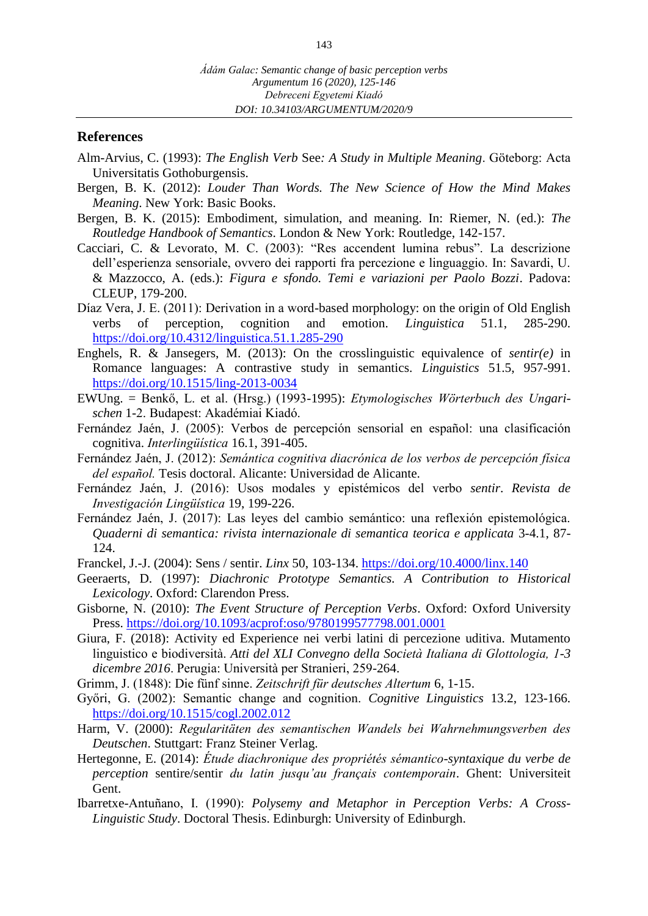#### **References**

- Alm-Arvius, C. (1993): *The English Verb* See*: A Study in Multiple Meaning*. Göteborg: Acta Universitatis Gothoburgensis.
- Bergen, B. K. (2012): *Louder Than Words. The New Science of How the Mind Makes Meaning*. New York: Basic Books.
- Bergen, B. K. (2015): Embodiment, simulation, and meaning. In: Riemer, N. (ed.): *The Routledge Handbook of Semantics*. London & New York: Routledge, 142-157.
- Cacciari, C. & Levorato, M. C. (2003): "Res accendent lumina rebus". La descrizione dell'esperienza sensoriale, ovvero dei rapporti fra percezione e linguaggio. In: Savardi, U. & Mazzocco, A. (eds.): *Figura e sfondo. Temi e variazioni per Paolo Bozzi*. Padova: CLEUP, 179-200.
- Díaz Vera, J. E. (2011): Derivation in a word-based morphology: on the origin of Old English verbs of perception, cognition and emotion. *Linguistica* 51.1, 285-290. <https://doi.org/10.4312/linguistica.51.1.285-290>
- Enghels, R. & Jansegers, M. (2013): On the crosslinguistic equivalence of *sentir(e)* in Romance languages: A contrastive study in semantics. *Linguistics* 51.5, 957-991. <https://doi.org/10.1515/ling-2013-0034>
- EWUng. = Benkő, L. et al. (Hrsg.) (1993-1995): *Etymologisches Wörterbuch des Ungarischen* 1-2. Budapest: Akadémiai Kiadó.
- Fernández Jaén, J. (2005): Verbos de percepción sensorial en español: una clasificación cognitiva. *Interlingüística* 16.1, 391-405.
- Fernández Jaén, J. (2012): *Semántica cognitiva diacrónica de los verbos de percepción física del español.* Tesis doctoral. Alicante: Universidad de Alicante.
- Fernández Jaén, J. (2016): Usos modales y epistémicos del verbo *sentir*. *Revista de Investigación Lingüística* 19, 199-226.
- Fernández Jaén, J. (2017): Las leyes del cambio semántico: una reflexión epistemológica. *[Quaderni di semantica: rivista internazionale di semantica teorica e applicata](https://dialnet.unirioja.es/servlet/revista?codigo=9935)* [3-4.1,](https://dialnet.unirioja.es/servlet/revista?codigo=9935) 87- 124.
- Franckel, J.-J. (2004): Sens / sentir. *Linx* 50, 103-134. <https://doi.org/10.4000/linx.140>
- Geeraerts, D. (1997): *Diachronic Prototype Semantics. A Contribution to Historical Lexicology*. Oxford: Clarendon Press.
- Gisborne, N. (2010): *The Event Structure of Perception Verbs*. Oxford: Oxford University Press. <https://doi.org/10.1093/acprof:oso/9780199577798.001.0001>
- Giura, F. (2018): Activity ed Experience nei verbi latini di percezione uditiva. Mutamento linguistico e biodiversità. *Atti del XLI Convegno della Società Italiana di Glottologia, 1-3 dicembre 2016*. Perugia: Università per Stranieri, 259-264.
- Grimm, J. (1848): Die fünf sinne. *Zeitschrift für deutsches Altertum* 6, 1-15.
- Győri, G. (2002): Semantic change and cognition. *Cognitive Linguistics* 13.2, 123-166. <https://doi.org/10.1515/cogl.2002.012>
- Harm, V. (2000): *Regularitäten des semantischen Wandels bei Wahrnehmungsverben des Deutschen*. Stuttgart: Franz Steiner Verlag.
- Hertegonne, E. (2014): *Étude diachronique des propriétés sémantico-syntaxique du verbe de perception* sentire/sentir *du latin jusqu'au français contemporain*. Ghent: Universiteit Gent.
- Ibarretxe-Antuñano, I. (1990): *Polysemy and Metaphor in Perception Verbs: A Cross-Linguistic Study*. Doctoral Thesis. Edinburgh: University of Edinburgh.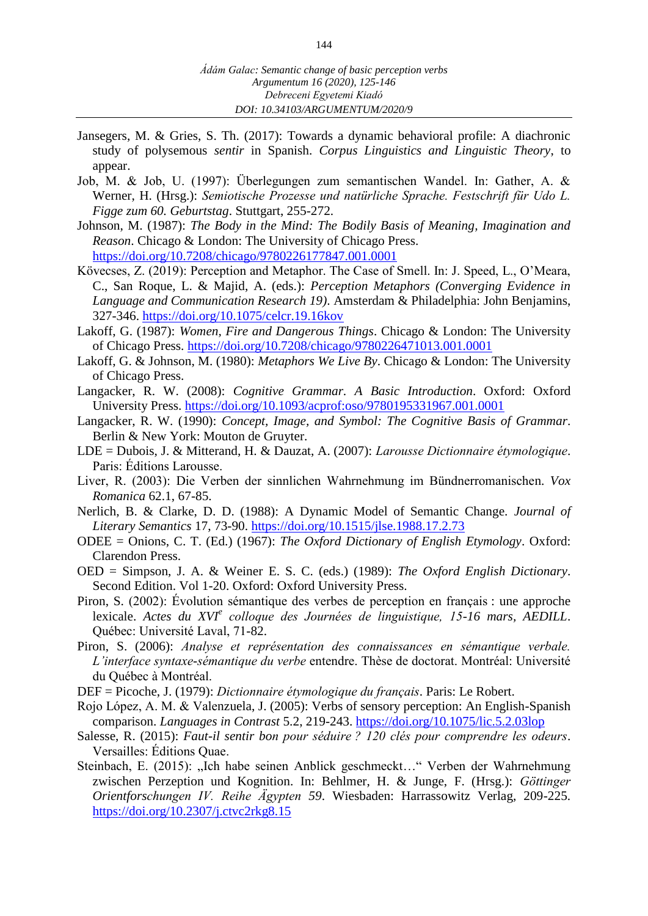- Jansegers, M. & Gries, S. Th. (2017): Towards a dynamic behavioral profile: A diachronic study of polysemous *sentir* in Spanish. *Corpus Linguistics and Linguistic Theory*, to appear.
- Job, M. & Job, U. (1997): Überlegungen zum semantischen Wandel. In: Gather, A. & Werner, H. (Hrsg.): *Semiotische Prozesse und natürliche Sprache. Festschrift für Udo L. Figge zum 60. Geburtstag*. Stuttgart, 255-272.
- Johnson, M. (1987): *The Body in the Mind: The Bodily Basis of Meaning, Imagination and Reason*. Chicago & London: The University of Chicago Press. <https://doi.org/10.7208/chicago/9780226177847.001.0001>
- Kövecses, Z. (2019): Perception and Metaphor. The Case of Smell. In: J. Speed, L., O'Meara, C., San Roque, L. & Majid, A. (eds.): *Perception Metaphors (Converging Evidence in Language and Communication Research 19)*. Amsterdam & Philadelphia: John Benjamins, 327-346. <https://doi.org/10.1075/celcr.19.16kov>
- Lakoff, G. (1987): *Women, Fire and Dangerous Things*. Chicago & London: The University of Chicago Press. <https://doi.org/10.7208/chicago/9780226471013.001.0001>
- Lakoff, G. & Johnson, M. (1980): *Metaphors We Live By*. Chicago & London: The University of Chicago Press.
- Langacker, R. W. (2008): *Cognitive Grammar. A Basic Introduction*. Oxford: Oxford University Press. <https://doi.org/10.1093/acprof:oso/9780195331967.001.0001>
- Langacker, R. W. (1990): *Concept, Image, and Symbol: The Cognitive Basis of Grammar*. Berlin & New York: Mouton de Gruyter.
- LDE = Dubois, J. & Mitterand, H. & Dauzat, A. (2007): *Larousse Dictionnaire étymologique*. Paris: Éditions Larousse.
- Liver, R. (2003): Die Verben der sinnlichen Wahrnehmung im Bündnerromanischen. *Vox Romanica* 62.1, 67-85.
- Nerlich, B. & Clarke, D. D. (1988): A Dynamic Model of Semantic Change. *Journal of Literary Semantics* 17, 73-90. <https://doi.org/10.1515/jlse.1988.17.2.73>
- ODEE = Onions, C. T. (Ed.) (1967): *The Oxford Dictionary of English Etymology*. Oxford: Clarendon Press.
- OED = Simpson, J. A. & Weiner E. S. C. (eds.) (1989): *The Oxford English Dictionary*. Second Edition. Vol 1-20. Oxford: Oxford University Press.
- Piron, S. (2002): Évolution sémantique des verbes de perception en français : une approche lexicale. *Actes du XVI<sup>e</sup> colloque des Journées de linguistique, 15-16 mars, AEDILL*. Québec: Université Laval, 71-82.
- Piron, S. (2006): *Analyse et représentation des connaissances en sémantique verbale. L'interface syntaxe-sémantique du verbe* entendre. Thèse de doctorat. Montréal: Université du Québec à Montréal.
- DEF = Picoche, J. (1979): *Dictionnaire étymologique du français*. Paris: Le Robert.
- Rojo López, A. M. & Valenzuela, J. (2005): Verbs of sensory perception: An English-Spanish comparison. *Languages in Contrast* 5.2, 219-243. <https://doi.org/10.1075/lic.5.2.03lop>
- Salesse, R. (2015): *Faut-il sentir bon pour séduire ? 120 clés pour comprendre les odeurs*. Versailles: Éditions Quae.
- Steinbach, E. (2015): "Ich habe seinen Anblick geschmeckt…" Verben der Wahrnehmung zwischen Perzeption und Kognition. In: Behlmer, H. & Junge, F. (Hrsg.): *Göttinger Orientforschungen IV. Reihe Ägypten 59*. Wiesbaden: Harrassowitz Verlag, 209-225. <https://doi.org/10.2307/j.ctvc2rkg8.15>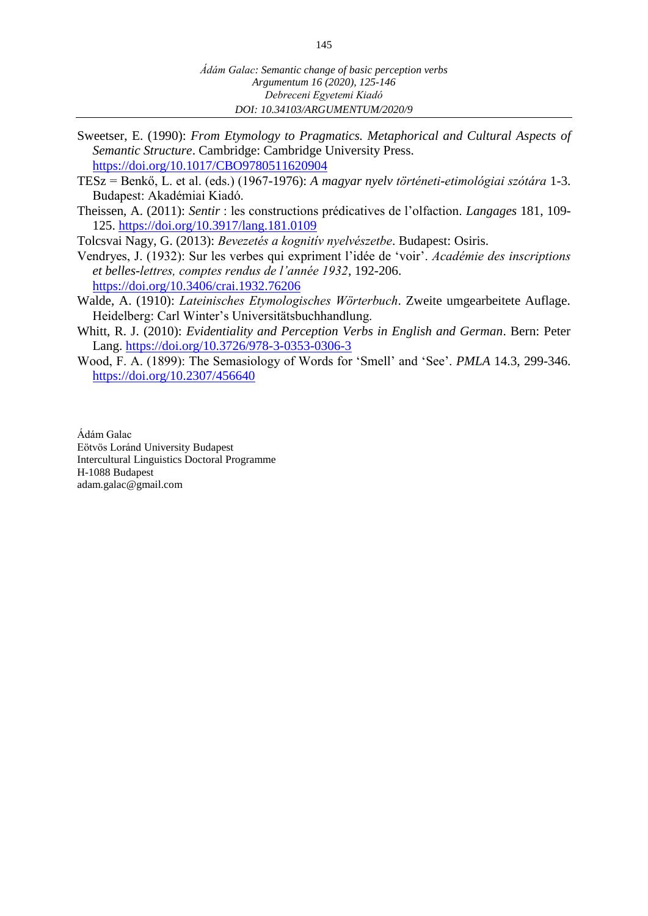- Sweetser, E. (1990): *From Etymology to Pragmatics. Metaphorical and Cultural Aspects of Semantic Structure*. Cambridge: Cambridge University Press. <https://doi.org/10.1017/CBO9780511620904>
- TESz = Benkő, L. et al. (eds.) (1967-1976): *A magyar nyelv történeti-etimológiai szótára* 1-3. Budapest: Akadémiai Kiadó.
- Theissen, A. (2011): *Sentir* : les constructions prédicatives de l'olfaction. *Langages* 181, 109- 125. <https://doi.org/10.3917/lang.181.0109>

Tolcsvai Nagy, G. (2013): *Bevezetés a kognitív nyelvészetbe*. Budapest: Osiris.

- Vendryes, J. (1932): Sur les verbes qui expriment l'idée de 'voir'. *Académie des inscriptions et belles-lettres, comptes rendus de l'année 1932*, 192-206. <https://doi.org/10.3406/crai.1932.76206>
- Walde, A. (1910): *Lateinisches Etymologisches Wörterbuch*. Zweite umgearbeitete Auflage. Heidelberg: Carl Winter's Universitätsbuchhandlung.
- Whitt, R. J. (2010): *Evidentiality and Perception Verbs in English and German*. Bern: Peter Lang. <https://doi.org/10.3726/978-3-0353-0306-3>
- Wood, F. A. (1899): The Semasiology of Words for 'Smell' and 'See'. *PMLA* 14.3, 299-346. <https://doi.org/10.2307/456640>

Ádám Galac Eötvös Loránd University Budapest Intercultural Linguistics Doctoral Programme H-1088 Budapest adam.galac@gmail.com